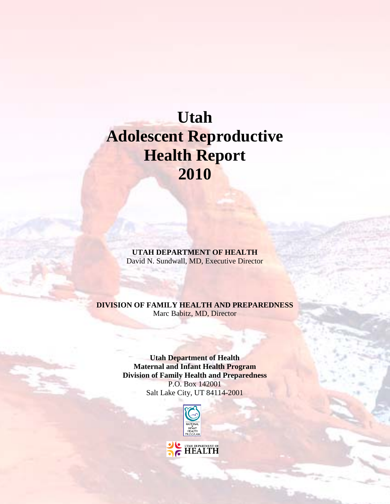# **Utah Adolescent Reproductive Health Report 2010**

**UTAH DEPARTMENT OF HEALTH** David N. Sundwall, MD, Executive Director

#### **DIVISION OF FAMILY HEALTH AND PREPAREDNESS** Marc Babitz, MD, Director

**Utah Department of Health Maternal and Infant Health Program Division of Family Health and Preparedness** P.O. Box 142001 Salt Lake City, UT 84114-2001

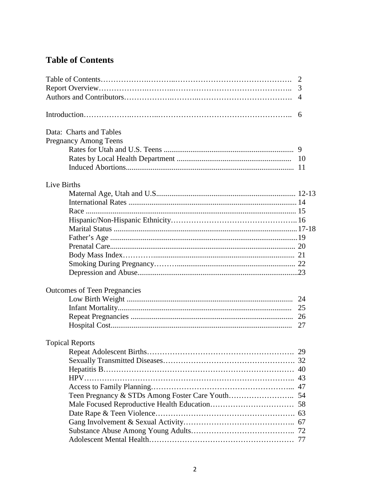# **Table of Contents**

|                                     | 2<br>3<br>$\overline{4}$ |
|-------------------------------------|--------------------------|
|                                     | 6                        |
| Data: Charts and Tables             |                          |
| <b>Pregnancy Among Teens</b>        |                          |
|                                     |                          |
|                                     | 10                       |
|                                     | -11                      |
| Live Births                         |                          |
|                                     |                          |
|                                     |                          |
|                                     |                          |
|                                     |                          |
|                                     |                          |
|                                     |                          |
|                                     |                          |
|                                     |                          |
|                                     |                          |
|                                     |                          |
| <b>Outcomes of Teen Pregnancies</b> |                          |
|                                     | 24                       |
|                                     | 25                       |
|                                     | 26                       |
|                                     | 27                       |
| <b>Topical Reports</b>              |                          |
|                                     |                          |
|                                     | 32                       |
|                                     |                          |
|                                     | 43                       |
|                                     |                          |
|                                     |                          |
|                                     |                          |
|                                     |                          |
|                                     |                          |
|                                     |                          |
|                                     | 77                       |
|                                     |                          |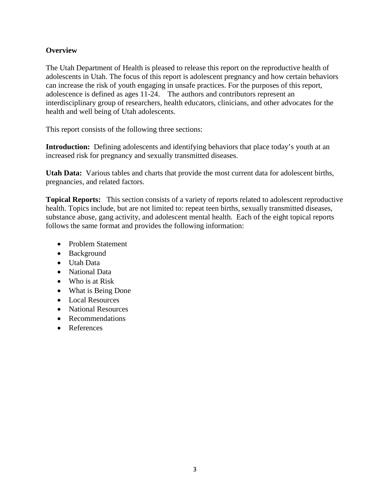#### **Overview**

The Utah Department of Health is pleased to release this report on the reproductive health of adolescents in Utah. The focus of this report is adolescent pregnancy and how certain behaviors can increase the risk of youth engaging in unsafe practices. For the purposes of this report, adolescence is defined as ages 11-24. The authors and contributors represent an interdisciplinary group of researchers, health educators, clinicians, and other advocates for the health and well being of Utah adolescents.

This report consists of the following three sections:

**Introduction:** Defining adolescents and identifying behaviors that place today's youth at an increased risk for pregnancy and sexually transmitted diseases.

**Utah Data:** Various tables and charts that provide the most current data for adolescent births, pregnancies, and related factors.

**Topical Reports:** This section consists of a variety of reports related to adolescent reproductive health. Topics include, but are not limited to: repeat teen births, sexually transmitted diseases, substance abuse, gang activity, and adolescent mental health. Each of the eight topical reports follows the same format and provides the following information:

- Problem Statement
- Background
- Utah Data
- National Data
- Who is at Risk
- What is Being Done
- Local Resources
- National Resources
- Recommendations
- References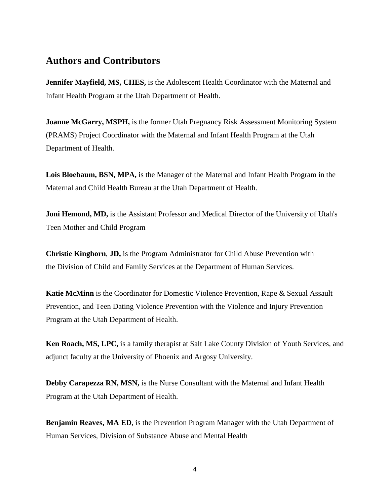# **Authors and Contributors**

**Jennifer Mayfield, MS, CHES,** is the Adolescent Health Coordinator with the Maternal and Infant Health Program at the Utah Department of Health.

**Joanne McGarry, MSPH,** is the former Utah Pregnancy Risk Assessment Monitoring System (PRAMS) Project Coordinator with the Maternal and Infant Health Program at the Utah Department of Health.

**Lois Bloebaum, BSN, MPA,** is the Manager of the Maternal and Infant Health Program in the Maternal and Child Health Bureau at the Utah Department of Health.

**Joni Hemond, MD,** is the Assistant Professor and Medical Director of the University of Utah's Teen Mother and Child Program

**Christie Kinghorn**, **JD,** is the Program Administrator for Child Abuse Prevention with the Division of Child and Family Services at the Department of Human Services.

**Katie McMinn** is the Coordinator for Domestic Violence Prevention, Rape & Sexual Assault Prevention, and Teen Dating Violence Prevention with the Violence and Injury Prevention Program at the Utah Department of Health.

**Ken Roach, MS, LPC,** is a family therapist at Salt Lake County Division of Youth Services, and adjunct faculty at the University of Phoenix and Argosy University.

**Debby Carapezza RN, MSN,** is the Nurse Consultant with the Maternal and Infant Health Program at the Utah Department of Health.

**Benjamin Reaves, MA ED**, is the Prevention Program Manager with the Utah Department of Human Services, Division of Substance Abuse and Mental Health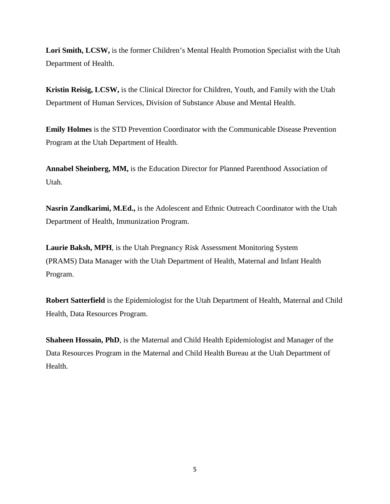**Lori Smith, LCSW,** is the former Children's Mental Health Promotion Specialist with the Utah Department of Health.

**Kristin Reisig, LCSW,** is the Clinical Director for Children, Youth, and Family with the Utah Department of Human Services, Division of Substance Abuse and Mental Health.

**Emily Holmes** is the STD Prevention Coordinator with the Communicable Disease Prevention Program at the Utah Department of Health.

**Annabel Sheinberg, MM,** is the Education Director for Planned Parenthood Association of Utah.

**Nasrin Zandkarimi, M.Ed.,** is the Adolescent and Ethnic Outreach Coordinator with the Utah Department of Health, Immunization Program.

**Laurie Baksh, MPH**, is the Utah Pregnancy Risk Assessment Monitoring System (PRAMS) Data Manager with the Utah Department of Health, Maternal and Infant Health Program.

**Robert Satterfield** is the Epidemiologist for the Utah Department of Health, Maternal and Child Health, Data Resources Program.

**Shaheen Hossain, PhD**, is the Maternal and Child Health Epidemiologist and Manager of the Data Resources Program in the Maternal and Child Health Bureau at the Utah Department of Health.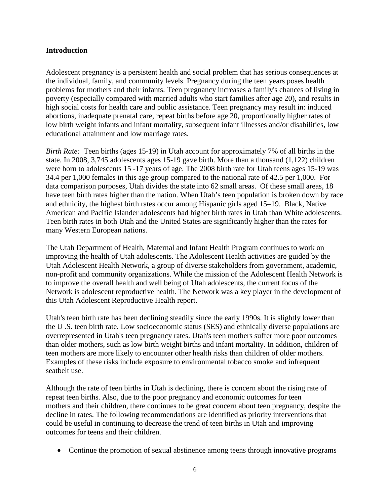#### **Introduction**

Adolescent pregnancy is a persistent health and social problem that has serious consequences at the individual, family, and community levels. Pregnancy during the teen years poses health problems for mothers and their infants. Teen pregnancy increases a family's chances of living in poverty (especially compared with married adults who start families after age 20), and results in high social costs for health care and public assistance. Teen pregnancy may result in: induced abortions, inadequate prenatal care, repeat births before age 20, proportionally higher rates of low birth weight infants and infant mortality, subsequent infant illnesses and/or disabilities, low educational attainment and low marriage rates.

*Birth Rate:* Teen births (ages 15-19) in Utah account for approximately 7% of all births in the state. In 2008, 3,745 adolescents ages 15-19 gave birth. More than a thousand (1,122) children were born to adolescents 15 -17 years of age. The 2008 birth rate for Utah teens ages 15-19 was 34.4 per 1,000 females in this age group compared to the national rate of 42.5 per 1,000. For data comparison purposes, Utah divides the state into 62 small areas. Of these small areas, 18 have teen birth rates higher than the nation. When Utah's teen population is broken down by race and ethnicity, the highest birth rates occur among Hispanic girls aged 15–19. Black, Native American and Pacific Islander adolescents had higher birth rates in Utah than White adolescents. Teen birth rates in both Utah and the United States are significantly higher than the rates for many Western European nations.

The Utah Department of Health, Maternal and Infant Health Program continues to work on improving the health of Utah adolescents. The Adolescent Health activities are guided by the Utah Adolescent Health Network, a group of diverse stakeholders from government, academic, non-profit and community organizations. While the mission of the Adolescent Health Network is to improve the overall health and well being of Utah adolescents, the current focus of the Network is adolescent reproductive health. The Network was a key player in the development of this Utah Adolescent Reproductive Health report.

Utah's teen birth rate has been declining steadily since the early 1990s. It is slightly lower than the U .S. teen birth rate. Low socioeconomic status (SES) and ethnically diverse populations are overrepresented in Utah's teen pregnancy rates. Utah's teen mothers suffer more poor outcomes than older mothers, such as low birth weight births and infant mortality. In addition, children of teen mothers are more likely to encounter other health risks than children of older mothers. Examples of these risks include exposure to environmental tobacco smoke and infrequent seatbelt use.

Although the rate of teen births in Utah is declining, there is concern about the rising rate of repeat teen births. Also, due to the poor pregnancy and economic outcomes for teen mothers and their children, there continues to be great concern about teen pregnancy, despite the decline in rates. The following recommendations are identified as priority interventions that could be useful in continuing to decrease the trend of teen births in Utah and improving outcomes for teens and their children.

• Continue the promotion of sexual abstinence among teens through innovative programs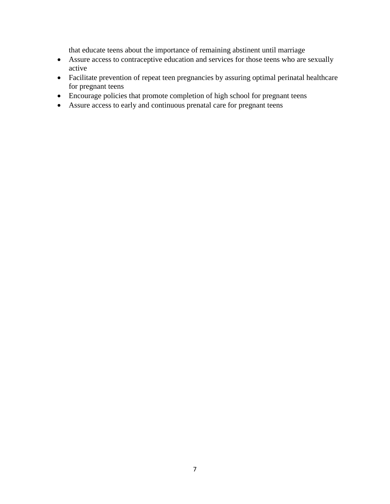that educate teens about the importance of remaining abstinent until marriage

- Assure access to contraceptive education and services for those teens who are sexually active
- Facilitate prevention of repeat teen pregnancies by assuring optimal perinatal healthcare for pregnant teens
- Encourage policies that promote completion of high school for pregnant teens
- Assure access to early and continuous prenatal care for pregnant teens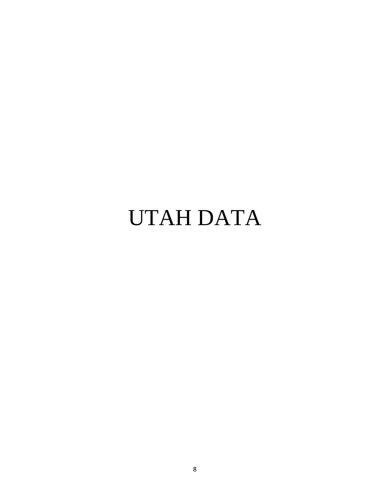# UTAH DATA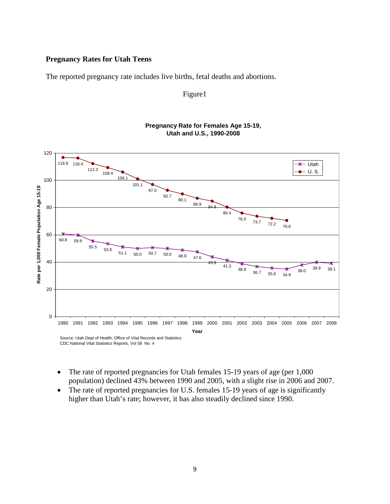#### **Pregnancy Rates for Utah Teens**

The reported pregnancy rate includes live births, fetal deaths and abortions.

#### Figure1



#### **Pregnancy Rate for Females Age 15-19, Utah and U.S., 1990-2008**

- The rate of reported pregnancies for Utah females 15-19 years of age (per 1,000) population) declined 43% between 1990 and 2005, with a slight rise in 2006 and 2007.
- The rate of reported pregnancies for U.S. females 15-19 years of age is significantly higher than Utah's rate; however, it has also steadily declined since 1990.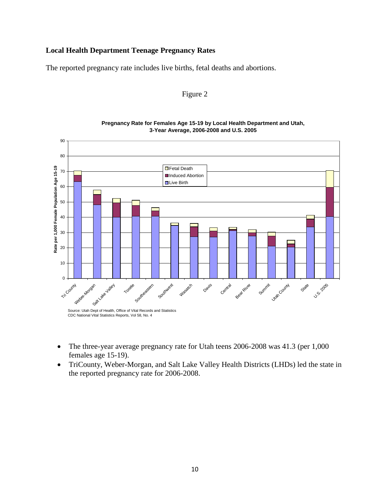#### **Local Health Department Teenage Pregnancy Rates**

The reported pregnancy rate includes live births, fetal deaths and abortions.

#### Figure 2



**Pregnancy Rate for Females Age 15-19 by Local Health Department and Utah, 3-Year Average, 2006-2008 and U.S. 2005**

- The three-year average pregnancy rate for Utah teens 2006-2008 was 41.3 (per 1,000 females age 15-19).
- TriCounty, Weber-Morgan, and Salt Lake Valley Health Districts (LHDs) led the state in the reported pregnancy rate for 2006-2008.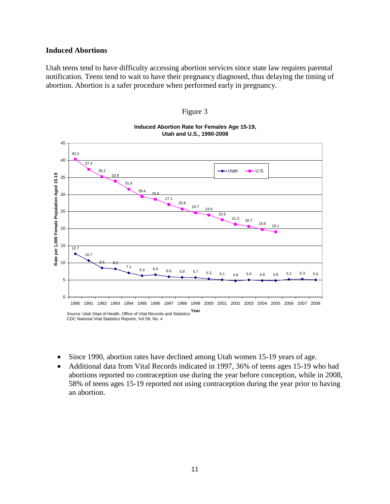#### **Induced Abortions**

Utah teens tend to have difficulty accessing abortion services since state law requires parental notification. Teens tend to wait to have their pregnancy diagnosed, thus delaying the timing of abortion. Abortion is a safer procedure when performed early in pregnancy.



**Induced Abortion Rate for Females Age 15-19,** 

Figure 3

- Since 1990, abortion rates have declined among Utah women 15-19 years of age.
- Additional data from Vital Records indicated in 1997, 36% of teens ages 15-19 who had abortions reported no contraception use during the year before conception, while in 2008, 58% of teens ages 15-19 reported not using contraception during the year prior to having an abortion.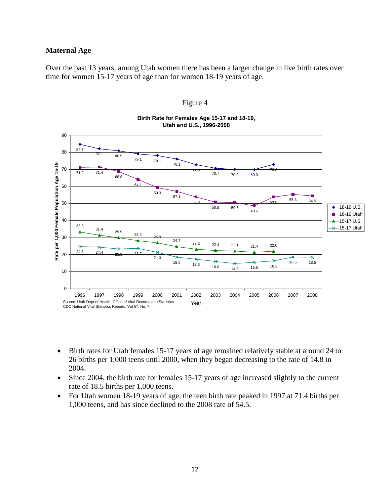#### **Maternal Age**

Over the past 13 years, among Utah women there has been a larger change in live birth rates over time for women 15-17 years of age than for women 18-19 years of age.



Figure 4

**Birth Rate for Females Age 15-17 and 18-19,** 

- Birth rates for Utah females 15-17 years of age remained relatively stable at around 24 to 26 births per 1,000 teens until 2000, when they began decreasing to the rate of 14.8 in 2004.
- Since 2004, the birth rate for females 15-17 years of age increased slightly to the current rate of 18.5 births per 1,000 teens.
- For Utah women 18-19 years of age, the teen birth rate peaked in 1997 at 71.4 births per 1,000 teens, and has since declined to the 2008 rate of 54.5.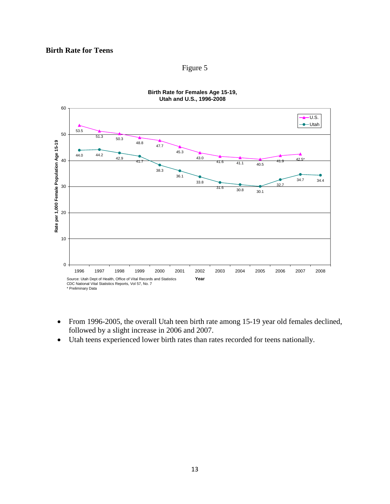#### **Birth Rate for Teens**

#### Figure 5



**Birth Rate for Females Age 15-19, Utah and U.S., 1996-2008**

- From 1996-2005, the overall Utah teen birth rate among 15-19 year old females declined, followed by a slight increase in 2006 and 2007.
- Utah teens experienced lower birth rates than rates recorded for teens nationally.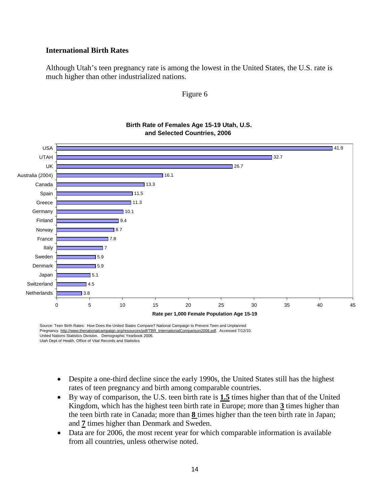#### **International Birth Rates**

Although Utah's teen pregnancy rate is among the lowest in the United States, the U.S. rate is much higher than other industrialized nations.

#### Figure 6



# **Birth Rate of Females Age 15-19 Utah, U.S.**

Source: Teen Birth Rates: How Does the United States Compare? National Campaign to Prevent Teen and Unplanned Pregnancy. http://www.thenationalcampaign.org/resources/pdf/TBR\_InternationalComparison2006.pdf. Accessed 7/12/10. United Nations Statistics Division. Demographic Yearbook 2006. Utah Dept of Health, Office of Vital Records and Statistics

- Despite a one-third decline since the early 1990s, the United States still has the highest rates of teen pregnancy and birth among comparable countries.
- By way of comparison, the U.S. teen birth rate is **1.5** times higher than that of the United Kingdom, which has the highest teen birth rate in Europe; more than **3** times higher than the teen birth rate in Canada; more than **8** times higher than the teen birth rate in Japan; and **7** times higher than Denmark and Sweden.
- Data are for 2006, the most recent year for which comparable information is available from all countries, unless otherwise noted.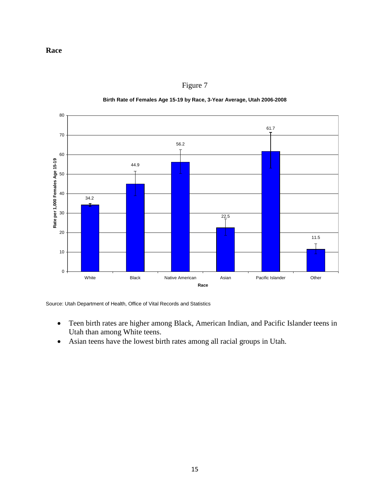

Figure 7

#### **Birth Rate of Females Age 15-19 by Race, 3-Year Average, Utah 2006-2008**

Source: Utah Department of Health, Office of Vital Records and Statistics

- Teen birth rates are higher among Black, American Indian, and Pacific Islander teens in Utah than among White teens.
- Asian teens have the lowest birth rates among all racial groups in Utah.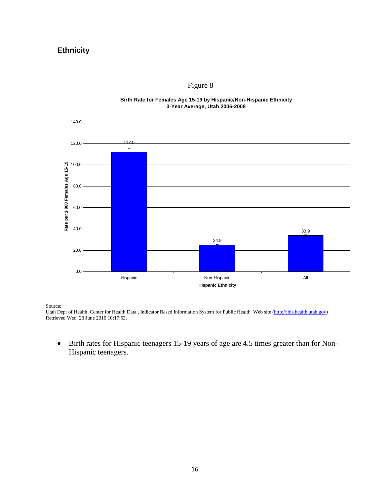## **Ethnicity**



## Figure 8

**Birth Rate for Females Age 15-19 by Hispanic/Non-Hispanic Ethnicity 3-Year Average, Utah 2006-2008**

Source:

Utah Dept of Health, Center for Health Data, Indicator Based Information System for Public Health Web site [\(http://ibis.health.utah.gov\)](http://ibis.health.utah.gov/) Retrieved Wed, 23 June 2010 10:17:53.

• Birth rates for Hispanic teenagers 15-19 years of age are 4.5 times greater than for Non-Hispanic teenagers.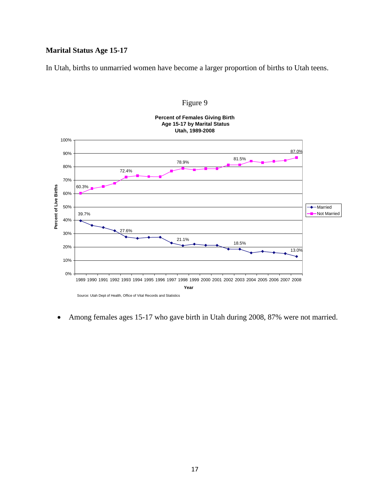#### **Marital Status Age 15-17**

In Utah, births to unmarried women have become a larger proportion of births to Utah teens.





• Among females ages 15-17 who gave birth in Utah during 2008, 87% were not married.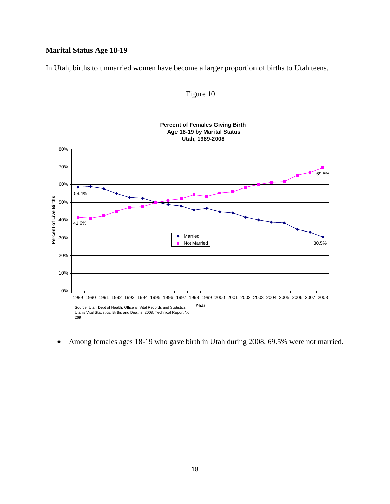#### **Marital Status Age 18-19**

In Utah, births to unmarried women have become a larger proportion of births to Utah teens.



#### Figure 10

• Among females ages 18-19 who gave birth in Utah during 2008, 69.5% were not married.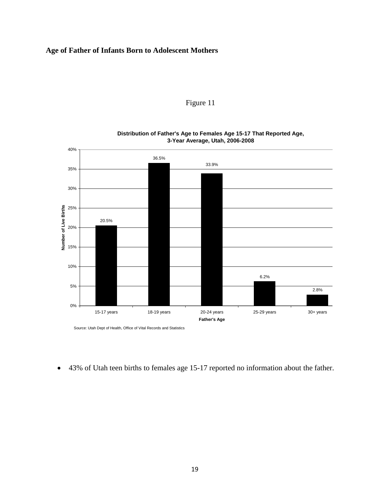#### **Age of Father of Infants Born to Adolescent Mothers**





**Distribution of Father's Age to Females Age 15-17 That Reported Age, 3-Year Average, Utah, 2006-2008**

Source: Utah Dept of Health, Office of Vital Records and Statistics

• 43% of Utah teen births to females age 15-17 reported no information about the father.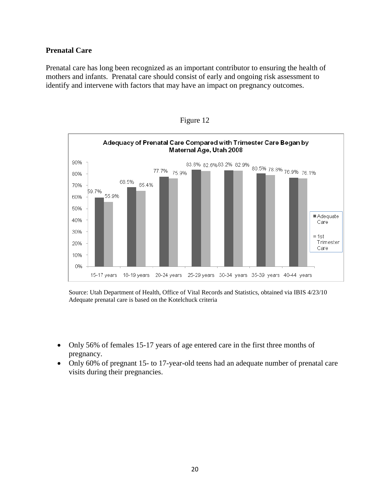#### **Prenatal Care**

Prenatal care has long been recognized as an important contributor to ensuring the health of mothers and infants. Prenatal care should consist of early and ongoing risk assessment to identify and intervene with factors that may have an impact on pregnancy outcomes.





Source: Utah Department of Health, Office of Vital Records and Statistics, obtained via IBIS 4/23/10 Adequate prenatal care is based on the Kotelchuck criteria

- Only 56% of females 15-17 years of age entered care in the first three months of pregnancy.
- Only 60% of pregnant 15- to 17-year-old teens had an adequate number of prenatal care visits during their pregnancies.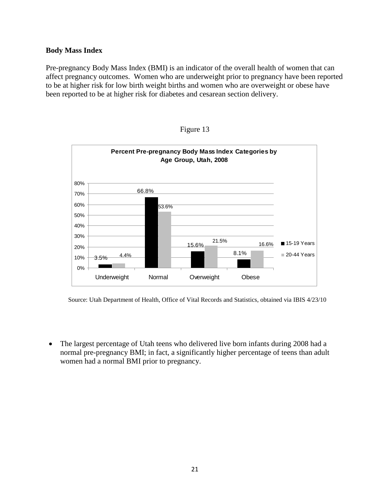#### **Body Mass Index**

Pre-pregnancy Body Mass Index (BMI) is an indicator of the overall health of women that can affect pregnancy outcomes. Women who are underweight prior to pregnancy have been reported to be at higher risk for low birth weight births and women who are overweight or obese have been reported to be at higher risk for diabetes and cesarean section delivery.



Figure 13

Source: Utah Department of Health, Office of Vital Records and Statistics, obtained via IBIS 4/23/10

• The largest percentage of Utah teens who delivered live born infants during 2008 had a normal pre-pregnancy BMI; in fact, a significantly higher percentage of teens than adult women had a normal BMI prior to pregnancy.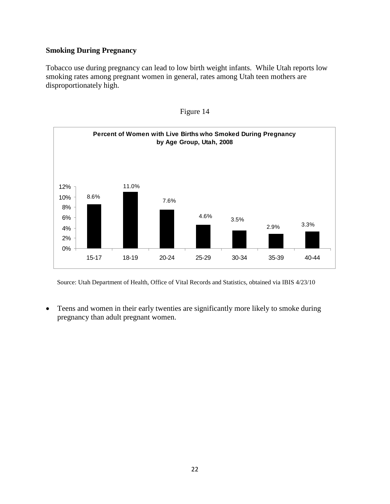#### **Smoking During Pregnancy**

Tobacco use during pregnancy can lead to low birth weight infants. While Utah reports low smoking rates among pregnant women in general, rates among Utah teen mothers are disproportionately high.





Source: Utah Department of Health, Office of Vital Records and Statistics, obtained via IBIS 4/23/10

• Teens and women in their early twenties are significantly more likely to smoke during pregnancy than adult pregnant women.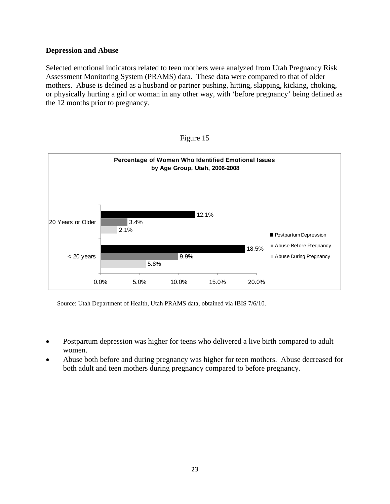#### **Depression and Abuse**

Selected emotional indicators related to teen mothers were analyzed from Utah Pregnancy Risk Assessment Monitoring System (PRAMS) data. These data were compared to that of older mothers. Abuse is defined as a husband or partner pushing, hitting, slapping, kicking, choking, or physically hurting a girl or woman in any other way, with 'before pregnancy' being defined as the 12 months prior to pregnancy.



Figure 15

Source: Utah Department of Health, Utah PRAMS data, obtained via IBIS 7/6/10.

- Postpartum depression was higher for teens who delivered a live birth compared to adult women.
- Abuse both before and during pregnancy was higher for teen mothers. Abuse decreased for both adult and teen mothers during pregnancy compared to before pregnancy.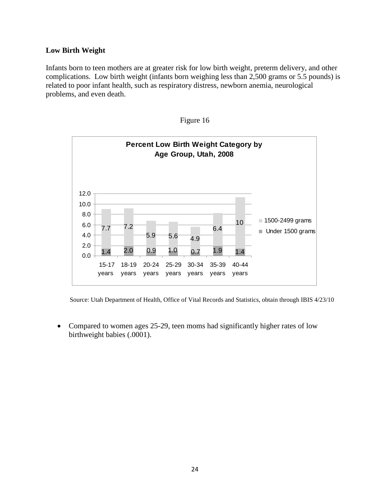#### **Low Birth Weight**

Infants born to teen mothers are at greater risk for low birth weight, preterm delivery, and other complications. Low birth weight (infants born weighing less than 2,500 grams or 5.5 pounds) is related to poor infant health, such as respiratory distress, newborn anemia, neurological problems, and even death.





Source: Utah Department of Health, Office of Vital Records and Statistics, obtain through IBIS 4/23/10

• Compared to women ages 25-29, teen moms had significantly higher rates of low birthweight babies (.0001).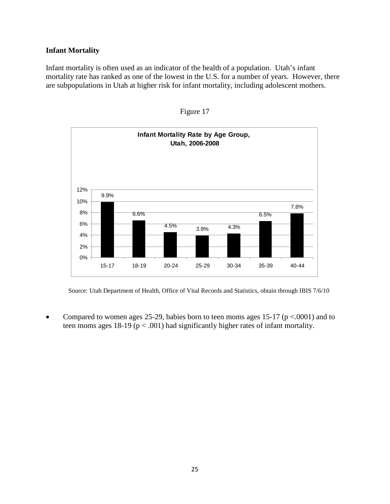#### **Infant Mortality**

Infant mortality is often used as an indicator of the health of a population. Utah's infant mortality rate has ranked as one of the lowest in the U.S. for a number of years. However, there are subpopulations in Utah at higher risk for infant mortality, including adolescent mothers.



Figure 17

Source: Utah Department of Health, Office of Vital Records and Statistics, obtain through IBIS 7/6/10

• Compared to women ages 25-29, babies born to teen moms ages 15-17 ( $p \lt 0.0001$ ) and to teen moms ages 18-19 ( $p < .001$ ) had significantly higher rates of infant mortality.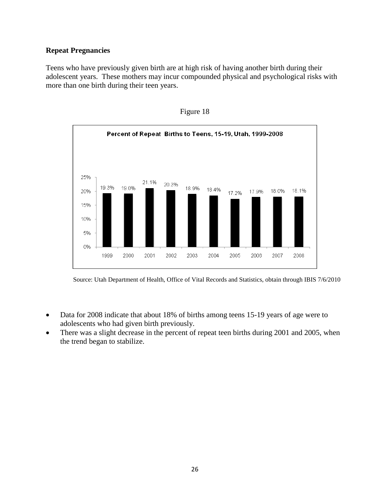#### **Repeat Pregnancies**

Teens who have previously given birth are at high risk of having another birth during their adolescent years. These mothers may incur compounded physical and psychological risks with more than one birth during their teen years.





Source: Utah Department of Health, Office of Vital Records and Statistics, obtain through IBIS 7/6/2010

- Data for 2008 indicate that about 18% of births among teens 15-19 years of age were to adolescents who had given birth previously.
- There was a slight decrease in the percent of repeat teen births during 2001 and 2005, when the trend began to stabilize.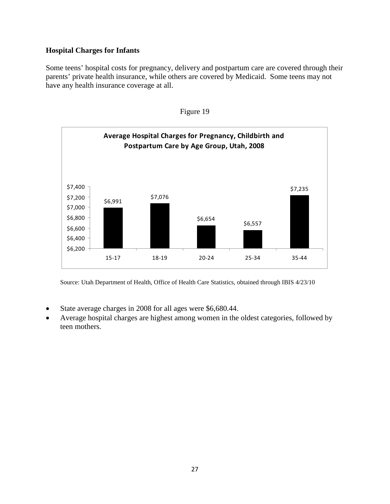### **Hospital Charges for Infants**

Some teens' hospital costs for pregnancy, delivery and postpartum care are covered through their parents' private health insurance, while others are covered by Medicaid. Some teens may not have any health insurance coverage at all.





Source: Utah Department of Health, Office of Health Care Statistics, obtained through IBIS 4/23/10

- State average charges in 2008 for all ages were \$6,680.44.
- Average hospital charges are highest among women in the oldest categories, followed by teen mothers.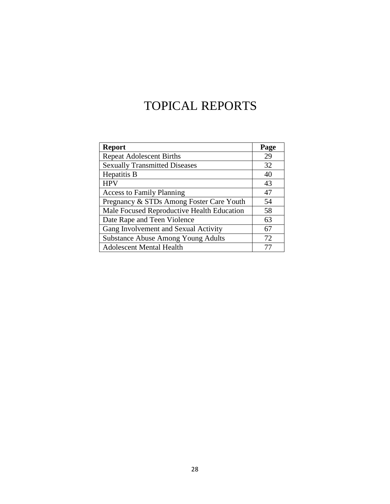# TOPICAL REPORTS

| <b>Report</b>                              | Page |
|--------------------------------------------|------|
| <b>Repeat Adolescent Births</b>            | 29   |
| <b>Sexually Transmitted Diseases</b>       | 32   |
| Hepatitis B                                | 40   |
| <b>HPV</b>                                 | 43   |
| <b>Access to Family Planning</b>           | 47   |
| Pregnancy & STDs Among Foster Care Youth   | 54   |
| Male Focused Reproductive Health Education | 58   |
| Date Rape and Teen Violence                | 63   |
| Gang Involvement and Sexual Activity       | 67   |
| <b>Substance Abuse Among Young Adults</b>  | 72   |
| <b>Adolescent Mental Health</b>            |      |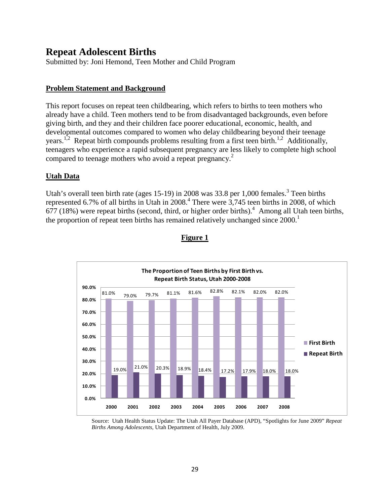# **Repeat Adolescent Births**

Submitted by: Joni Hemond, Teen Mother and Child Program

#### **Problem Statement and Background**

This report focuses on repeat teen childbearing, which refers to births to teen mothers who already have a child. Teen mothers tend to be from disadvantaged backgrounds, even before giving birth, and they and their children face poorer educational, economic, health, and developmental outcomes compared to women who delay childbearing beyond their teenage years.<sup>1,2</sup> Repeat birth compounds problems resulting from a first teen birth.<sup>1,2</sup> Additionally, teenagers who experience a rapid subsequent pregnancy are less likely to complete high school compared to teenage mothers who avoid a repeat pregnancy.<sup>2</sup>

#### **Utah Data**

Utah's overall teen birth rate (ages 15-19) in 2008 was 33.8 per 1,000 females.<sup>3</sup> Teen births represented 6.7% of all births in Utah in  $2008<sup>4</sup>$ . There were  $3,745$  teen births in 2008, of which  $677$  (18%) were repeat births (second, third, or higher order births).<sup>4</sup> Among all Utah teen births, the proportion of repeat teen births has remained relatively unchanged since  $2000$ .<sup>1</sup>



#### **Figure 1**

Source: Utah Health Status Update: The Utah All Payer Database (APD), "Spotlights for June 2009" *Repeat Births Among Adolescents,* Utah Department of Health, July 2009.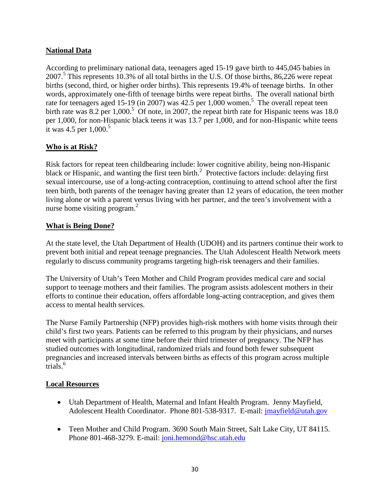#### **National Data**

According to preliminary national data, teenagers aged 15-19 gave birth to 445,045 babies in 2007.<sup>5</sup> This represents 10.3% of all total births in the U.S. Of those births, 86,226 were repeat births (second, third, or higher order births). This represents 19.4% of teenage births. In other words, approximately one-fifth of teenage births were repeat births. The overall national birth rate for teenagers aged 15-19 (in 2007) was 42.5 per 1,000 women.<sup>5</sup> The overall repeat teen birth rate was  $8.2$  per  $1,000$ .<sup>5</sup> Of note, in 2007, the repeat birth rate for Hispanic teens was 18.0 per 1,000, for non-Hispanic black teens it was 13.7 per 1,000, and for non-Hispanic white teens it was 4.5 per  $1,000$ <sup>5</sup>

#### **Who is at Risk?**

Risk factors for repeat teen childbearing include: lower cognitive ability, being non-Hispanic black or Hispanic, and wanting the first teen birth. $2$  Protective factors include: delaying first sexual intercourse, use of a long-acting contraception, continuing to attend school after the first teen birth, both parents of the teenager having greater than 12 years of education, the teen mother living alone or with a parent versus living with her partner, and the teen's involvement with a nurse home visiting program. $<sup>2</sup>$ </sup>

#### **What is Being Done?**

At the state level, the Utah Department of Health (UDOH) and its partners continue their work to prevent both initial and repeat teenage pregnancies. The Utah Adolescent Health Network meets regularly to discuss community programs targeting high-risk teenagers and their families.

The University of Utah's Teen Mother and Child Program provides medical care and social support to teenage mothers and their families. The program assists adolescent mothers in their efforts to continue their education, offers affordable long-acting contraception, and gives them access to mental health services.

The Nurse Family Partnership (NFP) provides high-risk mothers with home visits through their child's first two years. Patients can be referred to this program by their physicians, and nurses meet with participants at some time before their third trimester of pregnancy. The NFP has studied outcomes with longitudinal, randomized trials and found both fewer subsequent pregnancies and increased intervals between births as effects of this program across multiple trials.<sup>6</sup>

#### **Local Resources**

- Utah Department of Health, Maternal and Infant Health Program. Jenny Mayfield, Adolescent Health Coordinator. Phone 801-538-9317. E-mail: [jmayfield@utah.gov](mailto:jmayfield@utah.gov)
- Teen Mother and Child Program. 3690 South Main Street, Salt Lake City, UT 84115. Phone 801-468-3279. E-mail: [joni.hemond@hsc.utah.edu](mailto:joni.hemond@hsc.utah.edu)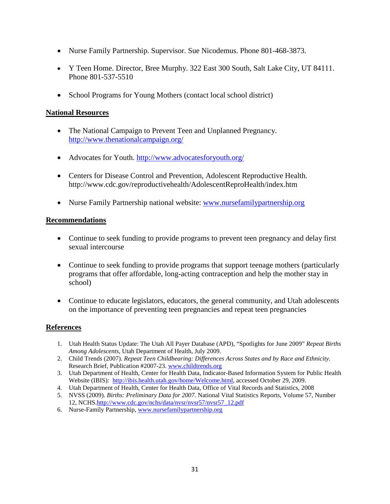- Nurse Family Partnership. Supervisor. Sue Nicodemus. Phone 801-468-3873.
- Y Teen Home. Director, Bree Murphy. 322 East 300 South, Salt Lake City, UT 84111. Phone 801-537-5510
- School Programs for Young Mothers (contact local school district)

#### **National Resources**

- The National Campaign to Prevent Teen and Unplanned Pregnancy. <http://www.thenationalcampaign.org/>
- Advocates for Youth.<http://www.advocatesforyouth.org/>
- Centers for Disease Control and Prevention, Adolescent Reproductive Health. http://www.cdc.gov/reproductivehealth/AdolescentReproHealth/index.htm
- Nurse Family Partnership national website: [www.nursefamilypartnership.org](http://www.nursefamilypartnership.org/)

#### **Recommendations**

- Continue to seek funding to provide programs to prevent teen pregnancy and delay first sexual intercourse
- Continue to seek funding to provide programs that support teenage mothers (particularly programs that offer affordable, long-acting contraception and help the mother stay in school)
- Continue to educate legislators, educators, the general community, and Utah adolescents on the importance of preventing teen pregnancies and repeat teen pregnancies

#### **References**

- 1. Utah Health Status Update: The Utah All Payer Database (APD), "Spotlights for June 2009" *Repeat Births Among Adolescents,* Utah Department of Health, July 2009.
- 2. Child Trends (2007). *Repeat Teen Childbearing: Differences Across States and by Race and Ethnicity.*  Research Brief, Publication #2007-23. [www.childtrends.org](http://www.childtrends.org/)
- 3. Utah Department of Health, Center for Health Data, Indicator-Based Information System for Public Health Website (IBIS): [http://ibis.health.utah.gov/home/Welcome.html,](http://ibis.health.utah.gov/home/Welcome.html) accessed October 29, 2009.
- 4. Utah Department of Health, Center for Health Data, Office of Vital Records and Statistics, 2008
- 5. NVSS (2009). *Births: Preliminary Data for 2007.* National Vital Statistics Reports, Volume 57, Number 12, NCHS[.http://www.cdc.gov/nchs/data/nvsr/nvsr57/nvsr57\\_12.pdf](http://www.cdc.gov/nchs/data/nvsr/nvsr57/nvsr57_12.pdf)
- 6. Nurse-Family Partnership[, www.nursefamilypartnership.org](http://www.nursefamilypartnership.org/)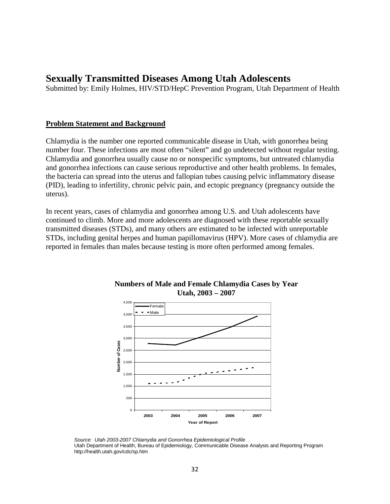## **Sexually Transmitted Diseases Among Utah Adolescents**

Submitted by: Emily Holmes, HIV/STD/HepC Prevention Program, Utah Department of Health

#### **Problem Statement and Background**

Chlamydia is the number one reported communicable disease in Utah, with gonorrhea being number four. These infections are most often "silent" and go undetected without regular testing. Chlamydia and gonorrhea usually cause no or nonspecific symptoms, but untreated chlamydia and gonorrhea infections can cause serious reproductive and other health problems. In females, the bacteria can spread into the uterus and fallopian tubes causing pelvic inflammatory disease (PID), leading to infertility, chronic pelvic pain, and ectopic pregnancy (pregnancy outside the uterus).

In recent years, cases of chlamydia and gonorrhea among U.S. and Utah adolescents have continued to climb. More and more adolescents are diagnosed with these reportable sexually transmitted diseases (STDs), and many others are estimated to be infected with unreportable STDs, including genital herpes and human papillomavirus (HPV). More cases of chlamydia are reported in females than males because testing is more often performed among females.



#### **Numbers of Male and Female Chlamydia Cases by Year Utah, 2003 – 2007**

*Source: Utah 2003-2007 Chlamydia and Gonorrhea Epidemiological Profile*  Utah Department of Health, Bureau of Epidemiology, Communicable Disease Analysis and Reporting Program http://health.utah.gov/cdc/sp.htm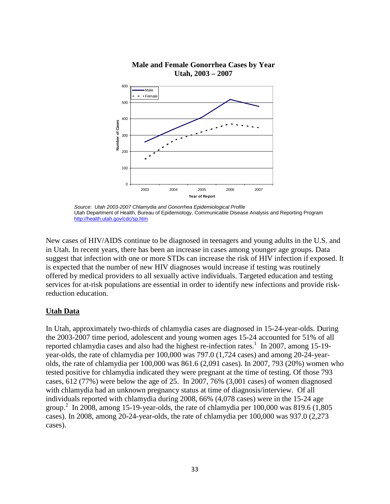

 **Male and Female Gonorrhea Cases by Year Utah, 2003 – 2007**

New cases of HIV/AIDS continue to be diagnosed in teenagers and young adults in the U.S. and in Utah. In recent years, there has been an increase in cases among younger age groups. Data suggest that infection with one or more STDs can increase the risk of HIV infection if exposed. It is expected that the number of new HIV diagnoses would increase if testing was routinely offered by medical providers to all sexually active individuals. Targeted education and testing services for at-risk populations are essential in order to identify new infections and provide riskreduction education.

#### **Utah Data**

In Utah, approximately two-thirds of chlamydia cases are diagnosed in 15-24-year-olds. During the 2003-2007 time period, adolescent and young women ages 15-24 accounted for 51% of all reported chlamydia cases and also had the highest re-infection rates.<sup>1</sup> In 2007, among 15-19year-olds, the rate of chlamydia per 100,000 was 797.0 (1,724 cases) and among 20-24-yearolds, the rate of chlamydia per 100,000 was 861.6 (2,091 cases). In 2007, 793 (20%) women who tested positive for chlamydia indicated they were pregnant at the time of testing. Of those 793 cases, 612 (77%) were below the age of 25. In 2007, 76% (3,001 cases) of women diagnosed with chlamydia had an unknown pregnancy status at time of diagnosis/interview. Of all individuals reported with chlamydia during 2008, 66% (4,078 cases) were in the 15-24 age group. 2 In 2008, among 15-19-year-olds, the rate of chlamydia per 100,000 was 819.6 (1,805 cases). In 2008, among 20-24-year-olds, the rate of chlamydia per 100,000 was 937.0 (2,273 cases).

*Source: Utah 2003-2007 Chlamydia and Gonorrhea Epidemiological Profile*  Utah Department of Health, Bureau of Epidemiology, Communicable Disease Analysis and Reporting Program <http://health.utah.gov/cdc/sp.htm>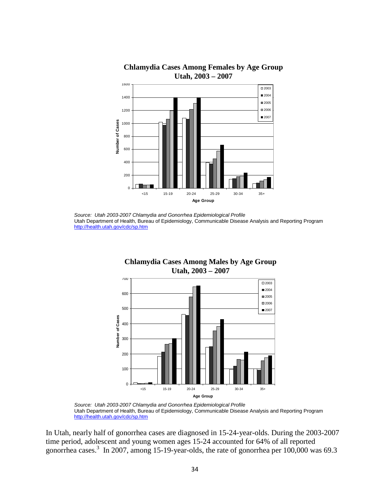

#### **Chlamydia Cases Among Females by Age Group Utah, 2003 – 2007**

 *Source: Utah 2003-2007 Chlamydia and Gonorrhea Epidemiological Profile*  Utah Department of Health, Bureau of Epidemiology, Communicable Disease Analysis and Reporting Program <http://health.utah.gov/cdc/sp.htm>



 **Chlamydia Cases Among Males by Age Group** 

 *Source: Utah 2003-2007 Chlamydia and Gonorrhea Epidemiological Profile*  Utah Department of Health, Bureau of Epidemiology, Communicable Disease Analysis and Reporting Program <http://health.utah.gov/cdc/sp.htm>

In Utah, nearly half of gonorrhea cases are diagnosed in 15-24-year-olds. During the 2003-2007 time period, adolescent and young women ages 15-24 accounted for 64% of all reported gonorrhea cases.3 In 2007, among 15-19-year-olds, the rate of gonorrhea per 100,000 was 69.3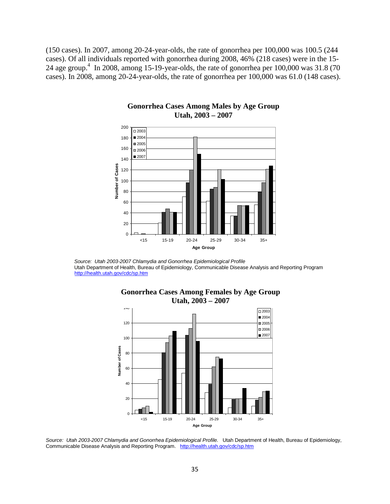(150 cases). In 2007, among 20-24-year-olds, the rate of gonorrhea per 100,000 was 100.5 (244 cases). Of all individuals reported with gonorrhea during 2008, 46% (218 cases) were in the 15- 24 age group.<sup>4</sup> In 2008, among 15-19-year-olds, the rate of gonorrhea per  $100,000$  was  $31.8$  (70) cases). In 2008, among 20-24-year-olds, the rate of gonorrhea per 100,000 was 61.0 (148 cases).



#### **Gonorrhea Cases Among Males by Age Group Utah, 2003 – 2007**



 **Gonorrhea Cases Among Females by Age Group Utah, 2003 – 2007**

*Source: Utah 2003-2007 Chlamydia and Gonorrhea Epidemiological Profile.* Utah Department of Health, Bureau of Epidemiology, Communicable Disease Analysis and Reporting Program. <http://health.utah.gov/cdc/sp.htm>

*Source: Utah 2003-2007 Chlamydia and Gonorrhea Epidemiological Profile*  Utah Department of Health, Bureau of Epidemiology, Communicable Disease Analysis and Reporting Program <http://health.utah.gov/cdc/sp.htm>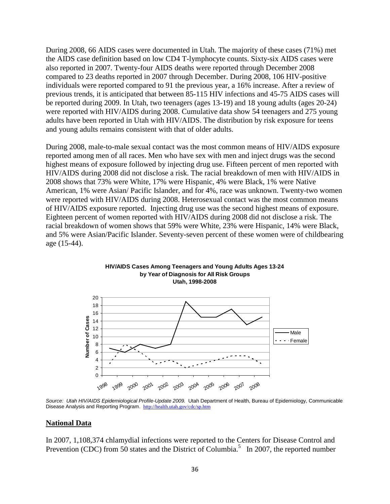During 2008, 66 AIDS cases were documented in Utah. The majority of these cases (71%) met the AIDS case definition based on low CD4 T-lymphocyte counts. Sixty-six AIDS cases were also reported in 2007. Twenty-four AIDS deaths were reported through December 2008 compared to 23 deaths reported in 2007 through December. During 2008, 106 HIV-positive individuals were reported compared to 91 the previous year, a 16% increase. After a review of previous trends, it is anticipated that between 85-115 HIV infections and 45-75 AIDS cases will be reported during 2009. In Utah, two teenagers (ages 13-19) and 18 young adults (ages 20-24) were reported with HIV/AIDS during 2008. Cumulative data show 54 teenagers and 275 young adults have been reported in Utah with HIV/AIDS. The distribution by risk exposure for teens and young adults remains consistent with that of older adults.

During 2008, male-to-male sexual contact was the most common means of HIV/AIDS exposure reported among men of all races. Men who have sex with men and inject drugs was the second highest means of exposure followed by injecting drug use. Fifteen percent of men reported with HIV/AIDS during 2008 did not disclose a risk. The racial breakdown of men with HIV/AIDS in 2008 shows that 73% were White, 17% were Hispanic, 4% were Black, 1% were Native American, 1% were Asian/ Pacific Islander, and for 4%, race was unknown. Twenty-two women were reported with HIV/AIDS during 2008. Heterosexual contact was the most common means of HIV/AIDS exposure reported. Injecting drug use was the second highest means of exposure. Eighteen percent of women reported with HIV/AIDS during 2008 did not disclose a risk. The racial breakdown of women shows that 59% were White, 23% were Hispanic, 14% were Black, and 5% were Asian/Pacific Islander. Seventy-seven percent of these women were of childbearing age (15-44).



Source: Utah HIV/AIDS Epidemiological Profile-Update 2009. Utah Department of Health, Bureau of Epidemiology, Communicable Disease Analysis and Reporting Program. <http://health.utah.gov/cdc/sp.htm>

#### **National Data**

In 2007, 1,108,374 chlamydial infections were reported to the Centers for Disease Control and Prevention (CDC) from 50 states and the District of Columbia.<sup>5</sup> In 2007, the reported number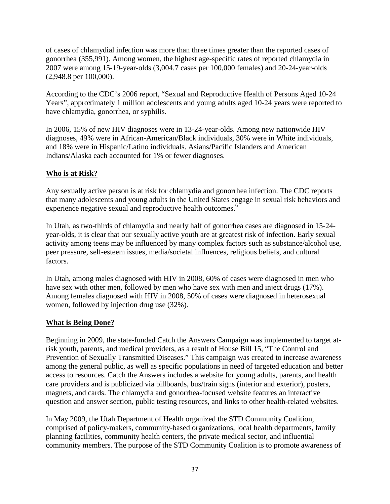of cases of chlamydial infection was more than three times greater than the reported cases of gonorrhea (355,991). Among women, the highest age-specific rates of reported chlamydia in 2007 were among 15-19-year-olds (3,004.7 cases per 100,000 females) and 20-24-year-olds (2,948.8 per 100,000).

According to the CDC's 2006 report, "Sexual and Reproductive Health of Persons Aged 10-24 Years", approximately 1 million adolescents and young adults aged 10-24 years were reported to have chlamydia, gonorrhea, or syphilis.

In 2006, 15% of new HIV diagnoses were in 13-24-year-olds. Among new nationwide HIV diagnoses, 49% were in African-American/Black individuals, 30% were in White individuals, and 18% were in Hispanic/Latino individuals. Asians/Pacific Islanders and American Indians/Alaska each accounted for 1% or fewer diagnoses.

## **Who is at Risk?**

Any sexually active person is at risk for chlamydia and gonorrhea infection. The CDC reports that many adolescents and young adults in the United States engage in sexual risk behaviors and experience negative sexual and reproductive health outcomes.<sup>6</sup>

In Utah, as two-thirds of chlamydia and nearly half of gonorrhea cases are diagnosed in 15-24 year-olds, it is clear that our sexually active youth are at greatest risk of infection. Early sexual activity among teens may be influenced by many complex factors such as substance/alcohol use, peer pressure, self-esteem issues, media/societal influences, religious beliefs, and cultural factors.

In Utah, among males diagnosed with HIV in 2008, 60% of cases were diagnosed in men who have sex with other men, followed by men who have sex with men and inject drugs (17%). Among females diagnosed with HIV in 2008, 50% of cases were diagnosed in heterosexual women, followed by injection drug use (32%).

### **What is Being Done?**

Beginning in 2009, the state-funded Catch the Answers Campaign was implemented to target atrisk youth, parents, and medical providers, as a result of House Bill 15, "The Control and Prevention of Sexually Transmitted Diseases." This campaign was created to increase awareness among the general public, as well as specific populations in need of targeted education and better access to resources. Catch the Answers includes a website for young adults, parents, and health care providers and is publicized via billboards, bus/train signs (interior and exterior), posters, magnets, and cards. The chlamydia and gonorrhea-focused website features an interactive question and answer section, public testing resources, and links to other health-related websites.

In May 2009, the Utah Department of Health organized the STD Community Coalition, comprised of policy-makers, community-based organizations, local health departments, family planning facilities, community health centers, the private medical sector, and influential community members. The purpose of the STD Community Coalition is to promote awareness of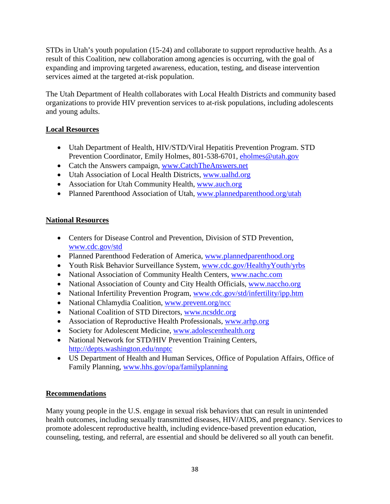STDs in Utah's youth population (15-24) and collaborate to support reproductive health. As a result of this Coalition, new collaboration among agencies is occurring, with the goal of expanding and improving targeted awareness, education, testing, and disease intervention services aimed at the targeted at-risk population.

The Utah Department of Health collaborates with Local Health Districts and community based organizations to provide HIV prevention services to at-risk populations, including adolescents and young adults.

## **Local Resources**

- Utah Department of Health, HIV/STD/Viral Hepatitis Prevention Program. STD Prevention Coordinator, Emily Holmes, 801-538-6701, [eholmes@utah.gov](mailto:eholmes@utah.gov)
- Catch the Answers campaign, www.CatchTheAnswers.net
- Utah Association of Local Health Districts, www.ualhd.org
- Association for Utah Community Health, www.auch.org
- Planned Parenthood Association of Utah, www.plannedparenthood.org/utah

### **National Resources**

- Centers for Disease Control and Prevention, Division of STD Prevention, www.cdc.gov/std
- Planned Parenthood Federation of America, www.plannedparenthood.org
- Youth Risk Behavior Surveillance System, www.cdc.gov/HealthyYouth/yrbs
- National Association of Community Health Centers, www.nachc.com
- National Association of County and City Health Officials, www.naccho.org
- National Infertility Prevention Program, www.cdc.gov/std/infertility/ipp.htm
- National Chlamydia Coalition, www.prevent.org/ncc
- National Coalition of STD Directors, www.ncsddc.org
- Association of Reproductive Health Professionals, www.arhp.org
- Society for Adolescent Medicine, www.adolescenthealth.org
- National Network for STD/HIV Prevention Training Centers, <http://depts.washington.edu/nnptc>
- US Department of Health and Human Services, Office of Population Affairs, Office of Family Planning, www.hhs.gov/opa/familyplanning

### **Recommendations**

Many young people in the U.S. engage in sexual risk behaviors that can result in unintended health outcomes, including sexually transmitted diseases, HIV/AIDS, and pregnancy. Services to promote adolescent reproductive health, including evidence-based prevention education, counseling, testing, and referral, are essential and should be delivered so all youth can benefit.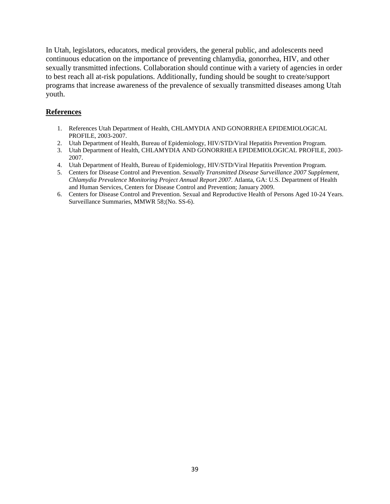In Utah, legislators, educators, medical providers, the general public, and adolescents need continuous education on the importance of preventing chlamydia, gonorrhea, HIV, and other sexually transmitted infections. Collaboration should continue with a variety of agencies in order to best reach all at-risk populations. Additionally, funding should be sought to create/support programs that increase awareness of the prevalence of sexually transmitted diseases among Utah youth.

#### **References**

- 1. References Utah Department of Health, CHLAMYDIA AND GONORRHEA EPIDEMIOLOGICAL PROFILE, 2003-2007.
- 2. Utah Department of Health, Bureau of Epidemiology, HIV/STD/Viral Hepatitis Prevention Program.
- 3. Utah Department of Health, CHLAMYDIA AND GONORRHEA EPIDEMIOLOGICAL PROFILE, 2003- 2007.
- 4. Utah Department of Health, Bureau of Epidemiology, HIV/STD/Viral Hepatitis Prevention Program.
- 5. Centers for Disease Control and Prevention. *Sexually Transmitted Disease Surveillance 2007 Supplement, Chlamydia Prevalence Monitoring Project Annual Report 2007*. Atlanta, GA: U.S. Department of Health and Human Services, Centers for Disease Control and Prevention; January 2009.
- 6. Centers for Disease Control and Prevention. Sexual and Reproductive Health of Persons Aged 10-24 Years. Surveillance Summaries, MMWR 58;(No. SS-6).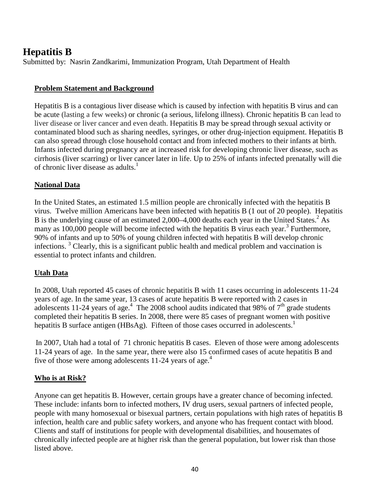# **Hepatitis B**

Submitted by: Nasrin Zandkarimi, Immunization Program, Utah Department of Health

## **Problem Statement and Background**

Hepatitis B is a contagious liver disease which is caused by infection with hepatitis B virus and can be acute (lasting a few weeks) or chronic (a serious, lifelong illness). Chronic hepatitis B can lead to liver disease or liver cancer and even death. Hepatitis B may be spread through sexual activity or contaminated blood such as sharing needles, syringes, or other drug-injection equipment. Hepatitis B can also spread through close household contact and from infected mothers to their infants at birth. Infants infected during pregnancy are at increased risk for developing chronic liver disease, such as cirrhosis (liver scarring) or liver cancer later in life. Up to 25% of infants infected prenatally will die of chronic liver disease as adults.<sup>1</sup>

## **National Data**

In the United States, an estimated 1.5 million people are chronically infected with the hepatitis B virus. Twelve million Americans have been infected with hepatitis B (1 out of 20 people). Hepatitis B is the underlying cause of an estimated  $2,000-4,000$  deaths each year in the United States.<sup>2</sup> As many as 100,000 people will become infected with the hepatitis B virus each year.<sup>3</sup> Furthermore, 90% of infants and up to 50% of young children infected with hepatitis B will develop chronic infections.<sup>3</sup> Clearly, this is a significant public health and medical problem and vaccination is essential to protect infants and children.

## **Utah Data**

In 2008, Utah reported 45 cases of chronic hepatitis B with 11 cases occurring in adolescents 11-24 years of age. In the same year, 13 cases of acute hepatitis B were reported with 2 cases in adolescents 11-24 years of age.<sup>4</sup> The 2008 school audits indicated that 98% of  $7<sup>th</sup>$  grade students completed their hepatitis B series. In 2008, there were 85 cases of pregnant women with positive hepatitis B surface antigen (HBsAg). Fifteen of those cases occurred in adolescents.<sup>1</sup>

In 2007, Utah had a total of 71 chronic hepatitis B cases. Eleven of those were among adolescents 11-24 years of age. In the same year, there were also 15 confirmed cases of acute hepatitis B and five of those were among adolescents  $11-24$  years of age.<sup>4</sup>

### **Who is at Risk?**

Anyone can get hepatitis B. However, certain groups have a greater chance of becoming infected. These include: infants born to infected mothers, IV drug users, sexual partners of infected people, people with many homosexual or bisexual partners, certain populations with high rates of hepatitis B infection, health care and public safety workers, and anyone who has frequent contact with blood. Clients and staff of institutions for people with developmental disabilities, and housemates of chronically infected people are at higher risk than the general population, but lower risk than those listed above.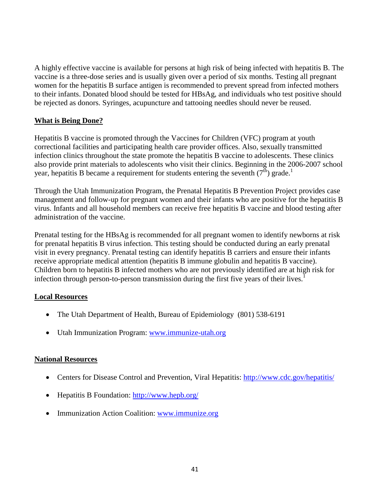A highly effective vaccine is available for persons at high risk of being infected with hepatitis B. The vaccine is a three-dose series and is usually given over a period of six months. Testing all pregnant women for the hepatitis B surface antigen is recommended to prevent spread from infected mothers to their infants. Donated blood should be tested for HBsAg, and individuals who test positive should be rejected as donors. Syringes, acupuncture and tattooing needles should never be reused.

## **What is Being Done?**

Hepatitis B vaccine is promoted through the Vaccines for Children (VFC) program at youth correctional facilities and participating health care provider offices. Also, sexually transmitted infection clinics throughout the state promote the hepatitis B vaccine to adolescents. These clinics also provide print materials to adolescents who visit their clinics. Beginning in the 2006-2007 school year, hepatitis B became a requirement for students entering the seventh  $(7<sup>th</sup>)$  grade.<sup>1</sup>

Through the Utah Immunization Program, the Prenatal Hepatitis B Prevention Project provides case management and follow-up for pregnant women and their infants who are positive for the hepatitis B virus. Infants and all household members can receive free hepatitis B vaccine and blood testing after administration of the vaccine.

Prenatal testing for the HBsAg is recommended for all pregnant women to identify newborns at risk for prenatal hepatitis B virus infection. This testing should be conducted during an early prenatal visit in every pregnancy. Prenatal testing can identify hepatitis B carriers and ensure their infants receive appropriate medical attention (hepatitis B immune globulin and hepatitis B vaccine). Children born to hepatitis B infected mothers who are not previously identified are at high risk for infection through person-to-person transmission during the first five years of their lives.<sup>1</sup>

### **Local Resources**

- The Utah Department of Health, Bureau of Epidemiology (801) 538-6191
- Utah Immunization Program: [www.immunize-utah.org](http://www.immunize-utah.org/)

### **National Resources**

- Centers for Disease Control and Prevention, Viral Hepatitis:<http://www.cdc.gov/hepatitis/>
- Hepatitis B Foundation: <http://www.hepb.org/>
- Immunization Action Coalition: [www.immunize.org](http://www.immunize.org/)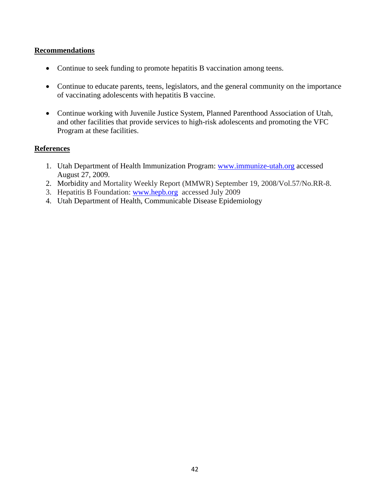#### **Recommendations**

- Continue to seek funding to promote hepatitis B vaccination among teens.
- Continue to educate parents, teens, legislators, and the general community on the importance of vaccinating adolescents with hepatitis B vaccine.
- Continue working with Juvenile Justice System, Planned Parenthood Association of Utah, and other facilities that provide services to high-risk adolescents and promoting the VFC Program at these facilities.

#### **References**

- 1. Utah Department of Health Immunization Program: [www.immunize-utah.org](http://www.immunize-utah.org/) accessed August 27, 2009.
- 2. Morbidity and Mortality Weekly Report (MMWR) September 19, 2008/Vol.57/No.RR-8.
- 3. Hepatitis B Foundation: [www.hepb.org](http://www.hepb.org/) accessed July 2009
- 4. Utah Department of Health, Communicable Disease Epidemiology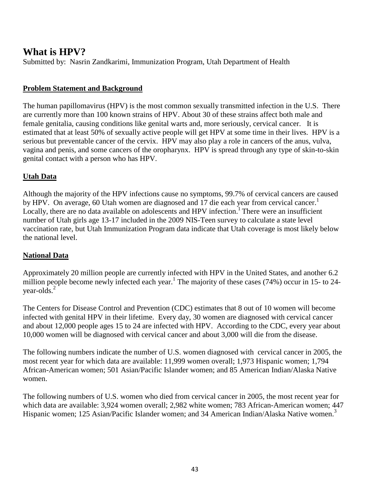# **What is HPV?**

Submitted by: Nasrin Zandkarimi, Immunization Program, Utah Department of Health

## **Problem Statement and Background**

The human papillomavirus (HPV) is the most common sexually transmitted infection in the U.S. There are currently more than 100 known strains of HPV. About 30 of these strains affect both male and female genitalia, causing conditions like genital warts and, more seriously, cervical cancer. It is estimated that at least 50% of sexually active people will get HPV at some time in their lives. HPV is a serious but preventable cancer of the cervix. HPV may also play a role in cancers of the anus, vulva, vagina and penis, and some cancers of the oropharynx. HPV is spread through any type of skin-to-skin genital contact with a person who has HPV.

## **Utah Data**

Although the majority of the HPV infections cause no symptoms, 99.7% of cervical cancers are caused by HPV. On average, 60 Utah women are diagnosed and 17 die each year from cervical cancer.<sup>1</sup> Locally, there are no data available on adolescents and HPV infection.<sup>1</sup> There were an insufficient number of Utah girls age 13-17 included in the 2009 NIS-Teen survey to calculate a state level vaccination rate, but Utah Immunization Program data indicate that Utah coverage is most likely below the national level.

## **National Data**

Approximately 20 million people are currently infected with HPV in the United States, and another 6.2 million people become newly infected each year.<sup>1</sup> The majority of these cases (74%) occur in 15- to 24year-olds.<sup>2</sup>

The Centers for Disease Control and Prevention (CDC) estimates that 8 out of 10 women will become infected with genital HPV in their lifetime. Every day, 30 women are diagnosed with cervical cancer and about 12,000 people ages 15 to 24 are infected with HPV. According to the CDC, every year about 10,000 women will be diagnosed with cervical cancer and about 3,000 will die from the disease.

The following numbers indicate the number of U.S. women diagnosed with cervical cancer in 2005, the most recent year for which data are available: 11,999 women overall; 1,973 Hispanic women; 1,794 African-American women; 501 Asian/Pacific Islander women; and 85 American Indian/Alaska Native women.

The following numbers of U.S. women who died from cervical cancer in 2005, the most recent year for which data are available: 3,924 women overall; 2,982 white women; 783 African-American women; 447 Hispanic women; 125 Asian/Pacific Islander women; and 34 American Indian/Alaska Native women.<sup>3</sup>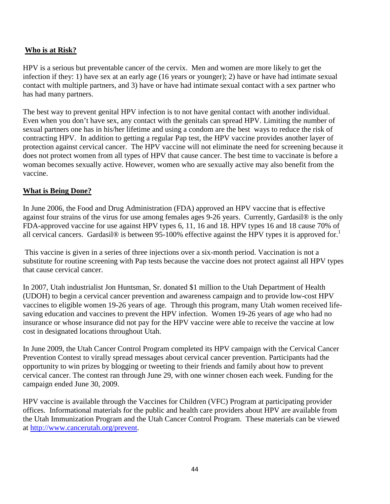## **Who is at Risk?**

HPV is a serious but preventable cancer of the cervix. Men and women are more likely to get the infection if they: 1) have sex at an early age (16 years or younger); 2) have or have had intimate sexual contact with multiple partners, and 3) have or have had intimate sexual contact with a sex partner who has had many partners.

The best way to prevent genital HPV infection is to not have genital contact with another individual. Even when you don't have sex, any contact with the genitals can spread HPV. Limiting the number of sexual partners one has in his/her lifetime and using a condom are the best ways to reduce the risk of contracting HPV. In addition to getting a regular Pap test, the HPV vaccine provides another layer of protection against cervical cancer. The HPV vaccine will not eliminate the need for screening because it does not protect women from all types of HPV that cause cancer. The best time to vaccinate is before a woman becomes sexually active. However, women who are sexually active may also benefit from the vaccine.

## **What is Being Done?**

In June 2006, the Food and Drug Administration (FDA) approved an HPV vaccine that is effective against four strains of the virus for use among females ages 9-26 years. Currently, Gardasil® is the only FDA-approved vaccine for use against HPV types 6, 11, 16 and 18. HPV types 16 and 18 cause 70% of all cervical cancers. Gardasil® is between 95-100% effective against the HPV types it is approved for.<sup>1</sup>

This vaccine is given in a series of three injections over a six-month period. Vaccination is not a substitute for routine screening with Pap tests because the vaccine does not protect against all HPV types that cause cervical cancer.

In 2007, Utah industrialist Jon Huntsman, Sr. donated \$1 million to the Utah Department of Health (UDOH) to begin a cervical cancer prevention and awareness campaign and to provide low-cost HPV vaccines to eligible women 19-26 years of age. Through this program, many Utah women received lifesaving education and vaccines to prevent the HPV infection. Women 19-26 years of age who had no insurance or whose insurance did not pay for the HPV vaccine were able to receive the vaccine at low cost in designated locations throughout Utah.

In June 2009, the Utah Cancer Control Program completed its HPV campaign with the Cervical Cancer Prevention Contest to virally spread messages about cervical cancer prevention. Participants had the opportunity to win prizes by blogging or tweeting to their friends and family about how to prevent cervical cancer. The contest ran through June 29, with one winner chosen each week. Funding for the campaign ended June 30, 2009.

HPV vaccine is available through the Vaccines for Children (VFC) Program at participating provider offices. Informational materials for the public and health care providers about HPV are available from the Utah Immunization Program and the Utah Cancer Control Program. These materials can be viewed at [http://www.cancerutah.org/prevent.](http://www.cancerutah.org/prevent)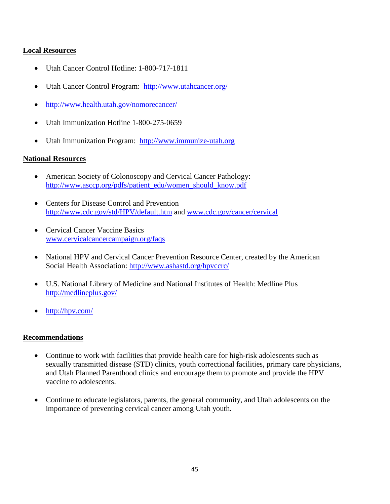### **Local Resources**

- Utah Cancer Control Hotline: 1-800-717-1811
- Utah Cancer Control Program: <http://www.utahcancer.org/>
- <http://www.health.utah.gov/nomorecancer/>
- Utah Immunization Hotline 1-800-275-0659
- Utah Immunization Program: [http://www.immunize-utah.org](http://www.immunize-utah.org/)

#### **National Resources**

- American Society of Colonoscopy and Cervical Cancer Pathology: [http://www.asccp.org/pdfs/patient\\_edu/women\\_should\\_know.pdf](http://www.asccp.org/pdfs/patient_edu/women_should_know.pdf)
- Centers for Disease Control and Prevention <http://www.cdc.gov/std/HPV/default.htm> and [www.cdc.gov/cancer/cervical](http://www.cdc.gov/cancer/cervical)
- Cervical Cancer Vaccine Basics [www.cervicalcancercampaign.org/faqs](http://www.cervicalcancercampaign.org/faqs)
- National HPV and Cervical Cancer Prevention Resource Center, created by the American Social Health Association:<http://www.ashastd.org/hpvccrc/>
- U.S. National Library of Medicine and National Institutes of Health: Medline Plus <http://medlineplus.gov/>
- <http://hpv.com/>

#### **Recommendations**

- Continue to work with facilities that provide health care for high-risk adolescents such as sexually transmitted disease (STD) clinics, youth correctional facilities, primary care physicians, and Utah Planned Parenthood clinics and encourage them to promote and provide the HPV vaccine to adolescents.
- Continue to educate legislators, parents, the general community, and Utah adolescents on the importance of preventing cervical cancer among Utah youth.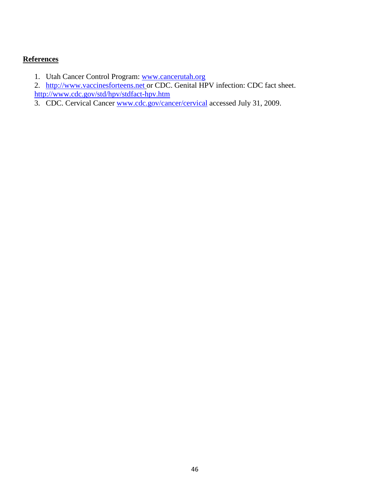## **References**

- 1. Utah Cancer Control Program: [www.cancerutah.org](http://www.cancerutah.org/)
- 2. [http://www.vaccinesforteens.net](http://www.vaccinesforteens.net/) or CDC. Genital HPV infection: CDC fact sheet. <http://www.cdc.gov/std/hpv/stdfact-hpv.htm>
- 3. CDC. Cervical Cancer [www.cdc.gov/cancer/cervical](http://www.cdc.gov/cancer/cervical) accessed July 31, 2009.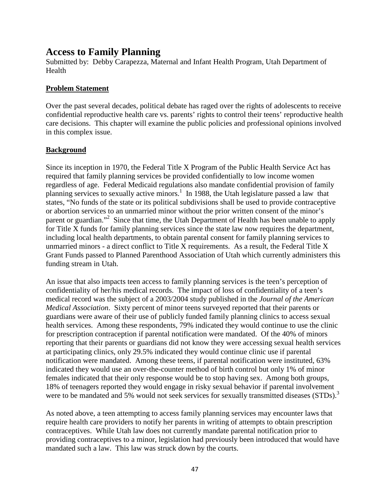# **Access to Family Planning**

Submitted by: Debby Carapezza, Maternal and Infant Health Program, Utah Department of Health

#### **Problem Statement**

Over the past several decades, political debate has raged over the rights of adolescents to receive confidential reproductive health care vs. parents' rights to control their teens' reproductive health care decisions. This chapter will examine the public policies and professional opinions involved in this complex issue.

#### **Background**

Since its inception in 1970, the Federal Title X Program of the Public Health Service Act has required that family planning services be provided confidentially to low income women regardless of age. Federal Medicaid regulations also mandate confidential provision of family planning services to sexually active minors.<sup>1</sup> In 1988, the Utah legislature passed a law that states, "No funds of the state or its political subdivisions shall be used to provide contraceptive or abortion services to an unmarried minor without the prior written consent of the minor's parent or guardian."<sup>2</sup> Since that time, the Utah Department of Health has been unable to apply for Title X funds for family planning services since the state law now requires the department, including local health departments, to obtain parental consent for family planning services to unmarried minors - a direct conflict to Title X requirements. As a result, the Federal Title X Grant Funds passed to Planned Parenthood Association of Utah which currently administers this funding stream in Utah.

An issue that also impacts teen access to family planning services is the teen's perception of confidentiality of her/his medical records. The impact of loss of confidentiality of a teen's medical record was the subject of a 2003/2004 study published in the *Journal of the American Medical Association*. Sixty percent of minor teens surveyed reported that their parents or guardians were aware of their use of publicly funded family planning clinics to access sexual health services. Among these respondents, 79% indicated they would continue to use the clinic for prescription contraception if parental notification were mandated. Of the 40% of minors reporting that their parents or guardians did not know they were accessing sexual health services at participating clinics, only 29.5% indicated they would continue clinic use if parental notification were mandated. Among these teens, if parental notification were instituted, 63% indicated they would use an over-the-counter method of birth control but only 1% of minor females indicated that their only response would be to stop having sex. Among both groups, 18% of teenagers reported they would engage in risky sexual behavior if parental involvement were to be mandated and 5% would not seek services for sexually transmitted diseases (STDs).<sup>3</sup>

As noted above, a teen attempting to access family planning services may encounter laws that require health care providers to notify her parents in writing of attempts to obtain prescription contraceptives. While Utah law does not currently mandate parental notification prior to providing contraceptives to a minor, legislation had previously been introduced that would have mandated such a law. This law was struck down by the courts.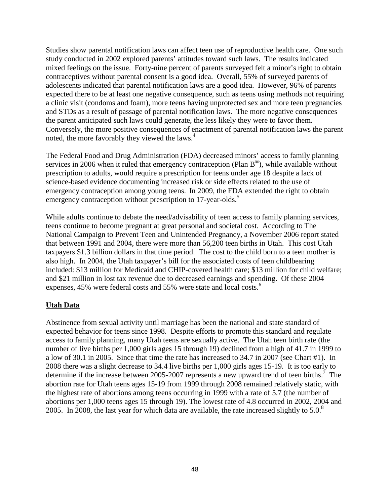Studies show parental notification laws can affect teen use of reproductive health care. One such study conducted in 2002 explored parents' attitudes toward such laws. The results indicated mixed feelings on the issue. Forty-nine percent of parents surveyed felt a minor's right to obtain contraceptives without parental consent is a good idea. Overall, 55% of surveyed parents of adolescents indicated that parental notification laws are a good idea. However, 96% of parents expected there to be at least one negative consequence, such as teens using methods not requiring a clinic visit (condoms and foam), more teens having unprotected sex and more teen pregnancies and STDs as a result of passage of parental notification laws. The more negative consequences the parent anticipated such laws could generate, the less likely they were to favor them. Conversely, the more positive consequences of enactment of parental notification laws the parent noted, the more favorably they viewed the laws.<sup>4</sup>

The Federal Food and Drug Administration (FDA) decreased minors' access to family planning services in 2006 when it ruled that emergency contraception (Plan  $B^{\circledast}$ ), while available without prescription to adults, would require a prescription for teens under age 18 despite a lack of science-based evidence documenting increased risk or side effects related to the use of emergency contraception among young teens. In 2009, the FDA extended the right to obtain emergency contraception without prescription to 17-year-olds.<sup>5</sup>

While adults continue to debate the need/advisability of teen access to family planning services, teens continue to become pregnant at great personal and societal cost. According to The National Campaign to Prevent Teen and Unintended Pregnancy, a November 2006 report stated that between 1991 and 2004, there were more than 56,200 teen births in Utah. This cost Utah taxpayers \$1.3 billion dollars in that time period. The cost to the child born to a teen mother is also high. In 2004, the Utah taxpayer's bill for the associated costs of teen childbearing included: \$13 million for Medicaid and CHIP-covered health care; \$13 million for child welfare; and \$21 million in lost tax revenue due to decreased earnings and spending. Of these 2004 expenses, 45% were federal costs and 55% were state and local costs.<sup>6</sup>

### **Utah Data**

Abstinence from sexual activity until marriage has been the national and state standard of expected behavior for teens since 1998. Despite efforts to promote this standard and regulate access to family planning, many Utah teens are sexually active. The Utah teen birth rate (the number of live births per 1,000 girls ages 15 through 19) declined from a high of 41.7 in 1999 to a low of 30.1 in 2005. Since that time the rate has increased to 34.7 in 2007 (see Chart #1). In 2008 there was a slight decrease to 34.4 live births per 1,000 girls ages 15-19. It is too early to determine if the increase between 2005-2007 represents a new upward trend of teen births.<sup>7</sup> The abortion rate for Utah teens ages 15-19 from 1999 through 2008 remained relatively static, with the highest rate of abortions among teens occurring in 1999 with a rate of 5.7 (the number of abortions per 1,000 teens ages 15 through 19). The lowest rate of 4.8 occurred in 2002, 2004 and 2005. In 2008, the last year for which data are available, the rate increased slightly to  $5.0$ .<sup>8</sup>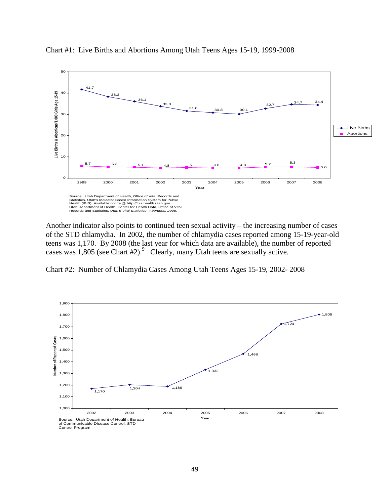

Chart #1: Live Births and Abortions Among Utah Teens Ages 15-19, 1999-2008

Another indicator also points to continued teen sexual activity – the increasing number of cases of the STD chlamydia. In 2002, the number of chlamydia cases reported among 15-19-year-old teens was 1,170. By 2008 (the last year for which data are available), the number of reported cases was 1,805 (see Chart #2).<sup>9</sup> Clearly, many Utah teens are sexually active.



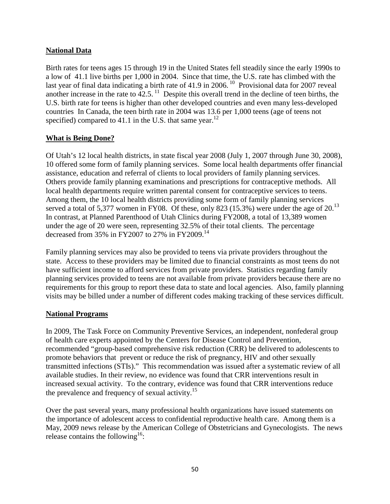## **National Data**

Birth rates for teens ages 15 through 19 in the United States fell steadily since the early 1990s to a low of 41.1 live births per 1,000 in 2004. Since that time, the U.S. rate has climbed with the last year of final data indicating a birth rate of 41.9 in 2006.<sup>10</sup> Provisional data for 2007 reveal another increase in the rate to  $42.5$ . <sup>11</sup> Despite this overall trend in the decline of teen births, the U.S. birth rate for teens is higher than other developed countries and even many less-developed countries In Canada, the teen birth rate in 2004 was 13.6 per 1,000 teens (age of teens not specified) compared to 41.1 in the U.S. that same year.<sup>12</sup>

## **What is Being Done?**

Of Utah's 12 local health districts, in state fiscal year 2008 (July 1, 2007 through June 30, 2008), 10 offered some form of family planning services. Some local health departments offer financial assistance, education and referral of clients to local providers of family planning services. Others provide family planning examinations and prescriptions for contraceptive methods. All local health departments require written parental consent for contraceptive services to teens. Among them, the 10 local health districts providing some form of family planning services served a total of 5,377 women in FY08. Of these, only 823  $(15.3%)$  were under the age of 20.<sup>13</sup> In contrast, at Planned Parenthood of Utah Clinics during FY2008, a total of 13,389 women under the age of 20 were seen, representing 32.5% of their total clients. The percentage decreased from 35% in FY2007 to 27% in FY2009.<sup>14</sup>

Family planning services may also be provided to teens via private providers throughout the state. Access to these providers may be limited due to financial constraints as most teens do not have sufficient income to afford services from private providers. Statistics regarding family planning services provided to teens are not available from private providers because there are no requirements for this group to report these data to state and local agencies. Also, family planning visits may be billed under a number of different codes making tracking of these services difficult.

### **National Programs**

In 2009, The Task Force on Community Preventive Services, an independent, nonfederal group of health care experts appointed by the Centers for Disease Control and Prevention, recommended "group-based comprehensive risk reduction (CRR) be delivered to adolescents to promote behaviors that prevent or reduce the risk of pregnancy, HIV and other sexually transmitted infections (STIs)." This recommendation was issued after a systematic review of all available studies. In their review, no evidence was found that CRR interventions result in increased sexual activity. To the contrary, evidence was found that CRR interventions reduce the prevalence and frequency of sexual activity.<sup>15</sup>

Over the past several years, many professional health organizations have issued statements on the importance of adolescent access to confidential reproductive health care. Among them is a May, 2009 news release by the American College of Obstetricians and Gynecologists. The news release contains the following<sup>16</sup>: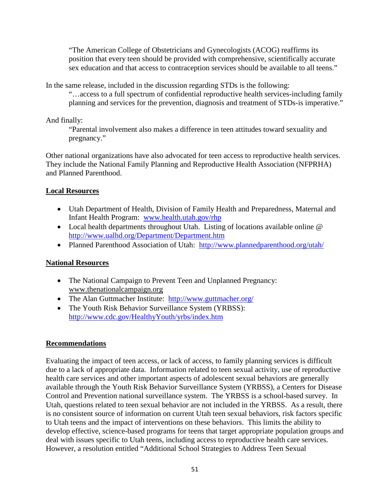"The American College of Obstetricians and Gynecologists (ACOG) reaffirms its position that every teen should be provided with comprehensive, scientifically accurate sex education and that access to contraception services should be available to all teens."

In the same release, included in the discussion regarding STDs is the following:

"…access to a full spectrum of confidential reproductive health services-including family planning and services for the prevention, diagnosis and treatment of STDs-is imperative."

And finally:

"Parental involvement also makes a difference in teen attitudes toward sexuality and pregnancy."

Other national organizations have also advocated for teen access to reproductive health services. They include the National Family Planning and Reproductive Health Association (NFPRHA) and Planned Parenthood.

## **Local Resources**

- Utah Department of Health, Division of Family Health and Preparedness, Maternal and Infant Health Program: [www.health.utah.gov/rhp](http://www.health.utah.gov/rhp)
- Local health departments throughout Utah. Listing of locations available online @ <http://www.ualhd.org/Department/Department.htm>
- Planned Parenthood Association of Utah: <http://www.plannedparenthood.org/utah/>

### **National Resources**

- The National Campaign to Prevent Teen and Unplanned Pregnancy: [www.thenationalcampaign.org](http://www.thenationalcampaign.org/)
- The Alan Guttmacher Institute: <http://www.guttmacher.org/>
- The Youth Risk Behavior Surveillance System (YRBSS): <http://www.cdc.gov/HealthyYouth/yrbs/index.htm>

### **Recommendations**

Evaluating the impact of teen access, or lack of access, to family planning services is difficult due to a lack of appropriate data. Information related to teen sexual activity, use of reproductive health care services and other important aspects of adolescent sexual behaviors are generally available through the Youth Risk Behavior Surveillance System (YRBSS), a Centers for Disease Control and Prevention national surveillance system. The YRBSS is a school-based survey. In Utah, questions related to teen sexual behavior are not included in the YRBSS. As a result, there is no consistent source of information on current Utah teen sexual behaviors, risk factors specific to Utah teens and the impact of interventions on these behaviors. This limits the ability to develop effective, science-based programs for teens that target appropriate population groups and deal with issues specific to Utah teens, including access to reproductive health care services. However, a resolution entitled "Additional School Strategies to Address Teen Sexual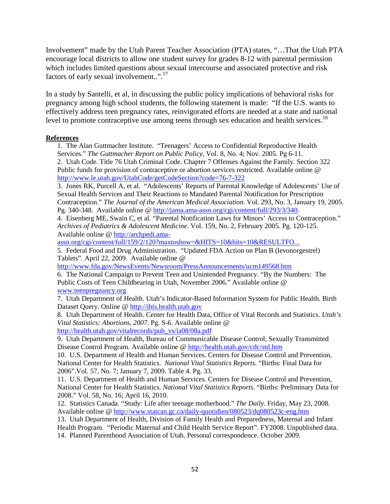Involvement" made by the Utah Parent Teacher Association (PTA) states, "…That the Utah PTA encourage local districts to allow one student survey for grades 8-12 with parental permission which includes limited questions about sexual intercourse and associated protective and risk factors of early sexual involvement..".17

In a study by Santelli, et al, in discussing the public policy implications of behavioral risks for pregnancy among high school students, the following statement is made: "If the U.S. wants to effectively address teen pregnancy rates, reinvigorated efforts are needed at a state and national level to promote contraceptive use among teens through sex education and health services.<sup>18</sup>

#### **References**

1. The Alan Guttmacher Institute. "Teenagers' Access to Confidential Reproductive Health Services." *The Guttmacher Report on Public Policy*, Vol. 8, No. 4; Nov. 2005. Pg 6-11. 2. Utah Code. Title 76 Utah Criminal Code. Chapter 7 Offenses Against the Family. Section 322 Public funds for provision of contraceptive or abortion services restricted. Available online @ <http://www.le.utah.gov/UtahCode/getCodeSection?code=76-7-322>

3. Jones RK, Purcell A, et al. "Adolescents' Reports of Parental Knowledge of Adolescents' Use of Sexual Health Services and Their Reactions to Mandated Parental Notification for Prescription Contraception." *The Journal of the American Medical Association*. Vol. 293, No. 3, January 19, 2005. Pg. 340-348. Available online [@ http://jama.ama-assn.org/cgi/content/full/293/3/340.](http://jama.ama-assn.org/cgi/content/full/293/3/340)

4. Eisenberg ME, Swain C, et al. "Parental Notification Laws for Minors' Access to Contraception." *Archives of Pediatrics & Adolescent Medicine*. Vol. 159, No. 2, February 2005. Pg. 120-125. Available online [@ http://archpedi.ama-](http://archpedi.ama-assn.org/cgi/content/full/159/2/120?maxtoshow=&HITS=10&hits=10&RESULTFO...)

[assn.org/cgi/content/full/159/2/120?maxtoshow=&HITS=10&hits=10&RESULTFO...](http://archpedi.ama-assn.org/cgi/content/full/159/2/120?maxtoshow=&HITS=10&hits=10&RESULTFO...)

5. Federal Food and Drug Administration. "Updated FDA Action on Plan B (levonorgestrel) Tablets". April 22, 2009. Available online @

<http://www.fda.gov/NewsEvents/Newsroom/PressAnnouncements/ucm149568.htm>

6. The National Campaign to Prevent Teen and Unintended Pregnancy. "By the Numbers: The Public Costs of Teen Childbearing in Utah, November 2006." Available online @ [www.teenpregnancy.org](http://www.teenpregnancy.org/)

7. Utah Department of Health. Utah's Indicator-Based Information System for Public Health. Birth Dataset Query. Online @ [http://ibis.health.utah.gov](http://ibis.health.utah.gov/)

8. Utah Department of Health. Center for Health Data, Office of Vital Records and Statistics. *Utah's Vital Statistics: Abortions, 2007*. Pg. S-6. Available online @ [http://health.utah.gov/vitalrecords/pub\\_vs/ia08/08a.pdf](http://health.utah.gov/vitalrecords/pub_vs/ia08/08a.pdf)

9. Utah Department of Health, Bureau of Communicable Disease Control, Sexually Transmitted Disease Control Program. Available online @<http://health.utah.gov/cdc/std.htm>

10. U.S. Department of Health and Human Services. Centers for Disease Control and Prevention, National Center for Health Statistics. *National Vital Statistics Reports*. "Births: Final Data for 2006".Vol. 57, No. 7; January 7, 2009. Table 4. Pg. 33.

11. U.S. Department of Health and Human Services. Centers for Disease Control and Prevention, National Center for Health Statistics. *National Vital Statistics Reports*. "Births: Preliminary Data for 2008." Vol. 58, No. 16; April 16, 2010.

12. Statistics Canada. "Study: Life after teenage motherhood." *The Daily*. Friday, May 23, 2008. Available online [@ http://www.statcan.gc.ca/daily-quotidien/080523/dq080523c-eng.htm](http://www.statcan.gc.ca/daily-quotidien/080523/dq080523c-eng.htm)

13. Utah Department of Health, Division of Family Health and Preparedness, Maternal and Infant Health Program. "Periodic Maternal and Child Health Service Report". FY2008. Unpublished data. 14. Planned Parenthood Association of Utah. Personal correspondence. October 2009.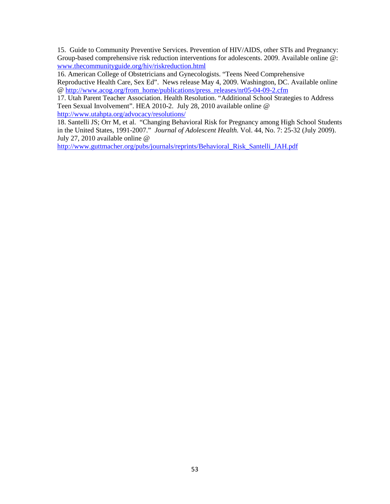15. Guide to Community Preventive Services. Prevention of HIV/AIDS, other STIs and Pregnancy: Group-based comprehensive risk reduction interventions for adolescents. 2009. Available online @: [www.thecommunityguide.org/hiv/riskreduction.html](http://www.thecommunityguide.org/hiv/riskreduction.html)

16. American College of Obstetricians and Gynecologists. "Teens Need Comprehensive Reproductive Health Care, Sex Ed". News release May 4, 2009. Washington, DC. Available online @ [http://www.acog.org/from\\_home/publications/press\\_releases/nr05-04-09-2.cfm](http://www.acog.org/from_home/publications/press_releases/nr05-04-09-2.cfm)

17. Utah Parent Teacher Association. Health Resolution. "Additional School Strategies to Address Teen Sexual Involvement". HEA 2010-2. July 28, 2010 available online @ <http://www.utahpta.org/advocacy/resolutions/>

18. Santelli JS; Orr M, et al. "Changing Behavioral Risk for Pregnancy among High School Students in the United States, 1991-2007." *Journal of Adolescent Health.* Vol. 44, No. 7: 25-32 (July 2009). July 27, 2010 available online @

[http://www.guttmacher.org/pubs/journals/reprints/Behavioral\\_Risk\\_Santelli\\_JAH.pdf](http://www.guttmacher.org/pubs/journals/reprints/Behavioral_Risk_Santelli_JAH.pdf)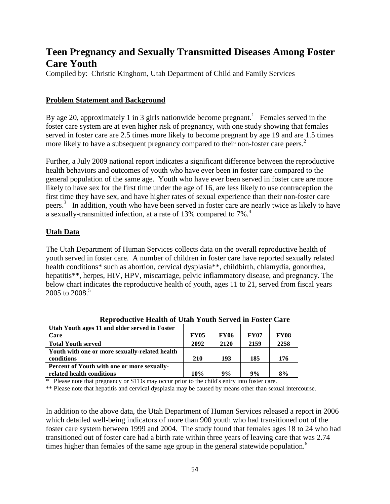# **Teen Pregnancy and Sexually Transmitted Diseases Among Foster Care Youth**

Compiled by: Christie Kinghorn, Utah Department of Child and Family Services

#### **Problem Statement and Background**

By age 20, approximately 1 in 3 girls nationwide become pregnant.<sup>1</sup> Females served in the foster care system are at even higher risk of pregnancy, with one study showing that females served in foster care are 2.5 times more likely to become pregnant by age 19 and are 1.5 times more likely to have a subsequent pregnancy compared to their non-foster care peers.<sup>2</sup>

Further, a July 2009 national report indicates a significant difference between the reproductive health behaviors and outcomes of youth who have ever been in foster care compared to the general population of the same age. Youth who have ever been served in foster care are more likely to have sex for the first time under the age of 16, are less likely to use contraception the first time they have sex, and have higher rates of sexual experience than their non-foster care peers.3 In addition, youth who have been served in foster care are nearly twice as likely to have a sexually-transmitted infection, at a rate of 13% compared to 7%.<sup>4</sup>

#### **Utah Data**

The Utah Department of Human Services collects data on the overall reproductive health of youth served in foster care. A number of children in foster care have reported sexually related health conditions\* such as abortion, cervical dysplasia\*\*, childbirth, chlamydia, gonorrhea, hepatitis\*\*, herpes, HIV, HPV, miscarriage, pelvic inflammatory disease, and pregnancy. The below chart indicates the reproductive health of youth, ages 11 to 21, served from fiscal years  $2005$  to  $2008<sup>5</sup>$ 

| Utah Youth ages 11 and older served in Foster  |             |             |             |             |  |  |
|------------------------------------------------|-------------|-------------|-------------|-------------|--|--|
| Care                                           | <b>FY05</b> | <b>FY06</b> | <b>FY07</b> | <b>FY08</b> |  |  |
| <b>Total Youth served</b>                      | 2092        | 2120        | 2159        | 2258        |  |  |
| Youth with one or more sexually-related health |             |             |             |             |  |  |
| conditions                                     | 210         | 193         | 185         | 176         |  |  |
| Percent of Youth with one or more sexually-    |             |             |             |             |  |  |
| related health conditions                      | 10%         | 9%          | 9%          | 8%          |  |  |

**Reproductive Health of Utah Youth Served in Foster Care**

\* Please note that pregnancy or STDs may occur prior to the child's entry into foster care.

\*\* Please note that hepatitis and cervical dysplasia may be caused by means other than sexual intercourse.

In addition to the above data, the Utah Department of Human Services released a report in 2006 which detailed well-being indicators of more than 900 youth who had transitioned out of the foster care system between 1999 and 2004. The study found that females ages 18 to 24 who had transitioned out of foster care had a birth rate within three years of leaving care that was 2.74 times higher than females of the same age group in the general statewide population.<sup>6</sup>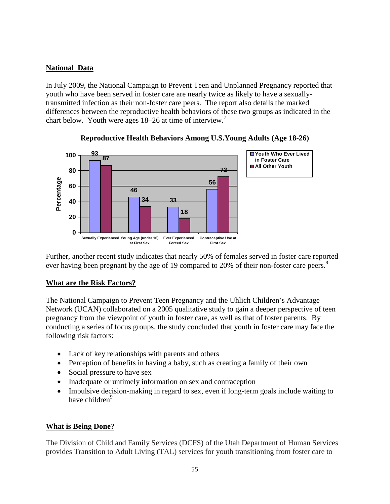## **National Data**

In July 2009, the National Campaign to Prevent Teen and Unplanned Pregnancy reported that youth who have been served in foster care are nearly twice as likely to have a sexuallytransmitted infection as their non-foster care peers. The report also details the marked differences between the reproductive health behaviors of these two groups as indicated in the chart below. Youth were ages 18–26 at time of interview.<sup>7</sup>



### **Reproductive Health Behaviors Among U.S.Young Adults (Age 18-26)**

Further, another recent study indicates that nearly 50% of females served in foster care reported ever having been pregnant by the age of 19 compared to 20% of their non-foster care peers.<sup>8</sup>

### **What are the Risk Factors?**

The National Campaign to Prevent Teen Pregnancy and the Uhlich Children's Advantage Network (UCAN) collaborated on a 2005 qualitative study to gain a deeper perspective of teen pregnancy from the viewpoint of youth in foster care, as well as that of foster parents. By conducting a series of focus groups, the study concluded that youth in foster care may face the following risk factors:

- Lack of key relationships with parents and others
- Perception of benefits in having a baby, such as creating a family of their own
- Social pressure to have sex
- Inadequate or untimely information on sex and contraception
- Impulsive decision-making in regard to sex, even if long-term goals include waiting to have children<sup>9</sup>

### **What is Being Done?**

The Division of Child and Family Services (DCFS) of the Utah Department of Human Services provides Transition to Adult Living (TAL) services for youth transitioning from foster care to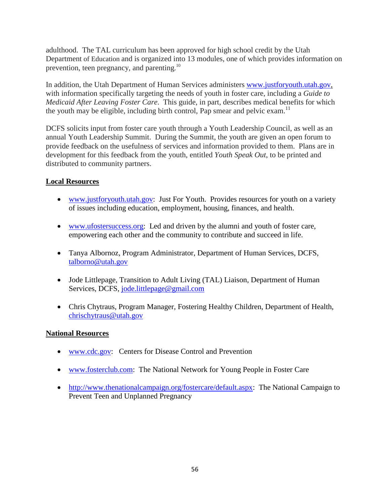adulthood. The TAL curriculum has been approved for high school credit by the Utah Department of Education and is organized into 13 modules, one of which provides information on prevention, teen pregnancy, and parenting.<sup>10</sup>

In addition, the Utah Department of Human Services administers [www.justforyouth.utah.gov,](http://www.justforyouth.utah.gov/) with information specifically targeting the needs of youth in foster care, including a *Guide to Medicaid After Leaving Foster Care*. This guide, in part, describes medical benefits for which the youth may be eligible, including birth control, Pap smear and pelvic exam.<sup>11</sup>

DCFS solicits input from foster care youth through a Youth Leadership Council, as well as an annual Youth Leadership Summit. During the Summit, the youth are given an open forum to provide feedback on the usefulness of services and information provided to them. Plans are in development for this feedback from the youth, entitled *Youth Speak Out*, to be printed and distributed to community partners.

### **Local Resources**

- [www.justforyouth.utah.gov:](http://www.justforyouth.utah.gov/) Just For Youth. Provides resources for youth on a variety of issues including education, employment, housing, finances, and health.
- [www.ufostersuccess.org:](http://www.ufostersuccess.org/) Led and driven by the alumni and youth of foster care, empowering each other and the community to contribute and succeed in life.
- Tanya Albornoz, Program Administrator, Department of Human Services, DCFS, talborno@utah.gov
- Jode Littlepage, Transition to Adult Living (TAL) Liaison, Department of Human Services, DCFS, jode.littlepage@gmail.com
- Chris Chytraus, Program Manager, Fostering Healthy Children, Department of Health, chrischytraus@utah.gov

### **National Resources**

- [www.cdc.gov:](http://www.cdc.gov/) Centers for Disease Control and Prevention
- [www.fosterclub.com:](http://www.fosterclub.com/) The National Network for Young People in Foster Care
- [http://www.thenationalcampaign.org/fostercare/default.aspx:](http://www.thenationalcampaign.org/fostercare/default.aspx) The National Campaign to Prevent Teen and Unplanned Pregnancy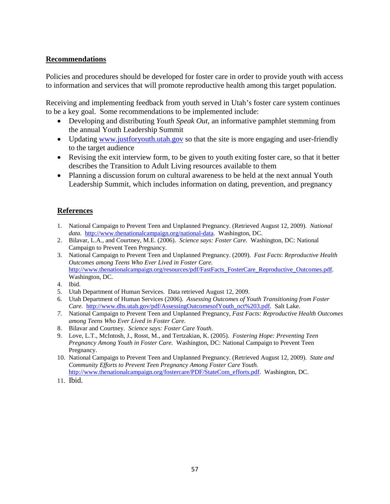#### **Recommendations**

Policies and procedures should be developed for foster care in order to provide youth with access to information and services that will promote reproductive health among this target population.

Receiving and implementing feedback from youth served in Utah's foster care system continues to be a key goal. Some recommendations to be implemented include:

- Developing and distributing *Youth Speak Out*, an informative pamphlet stemming from the annual Youth Leadership Summit
- Updating [www.justforyouth.utah.gov](http://www.justforyouth.utah.gov/) so that the site is more engaging and user-friendly to the target audience
- Revising the exit interview form, to be given to youth exiting foster care, so that it better describes the Transition to Adult Living resources available to them
- Planning a discussion forum on cultural awareness to be held at the next annual Youth Leadership Summit, which includes information on dating, prevention, and pregnancy

### **References**

- 1. National Campaign to Prevent Teen and Unplanned Pregnancy. (Retrieved August 12, 2009). *National data.* [http://www.thenationalcampaign.org/national-data.](http://www.thenationalcampaign.org/national-data) Washington, DC.
- 2. Bilavar, L.A., and Courtney, M.E. (2006). *Science says: Foster Care*. Washington, DC: National Campaign to Prevent Teen Pregnancy.
- 3. National Campaign to Prevent Teen and Unplanned Pregnancy. (2009). *Fast Facts*: *Reproductive Health Outcomes among Teens Who Ever Lived in Foster Care.* http://www.thenationalcampaign.org/resources/pdf/FastFacts\_FosterCare\_Reproductive\_Outcomes.pdf. Washington, DC.
- 4. Ibid.
- 5. Utah Department of Human Services. Data retrieved August 12, 2009.
- 6. Utah Department of Human Services (2006). *Assessing Outcomes of Youth Transitioning from Foster Care.* [http://www.dhs.utah.gov/pdf/AssessingOutcomesofYouth\\_oct%203.pdf.](http://www.dhs.utah.gov/pdf/AssessingOutcomesofYouth_oct%203.pdf) Salt Lake.
- *7.* National Campaign to Prevent Teen and Unplanned Pregnancy, *Fast Facts: Reproductive Health Outcomes among Teens Who Ever Lived in Foster Care.*
- 8. Bilavar and Courtney. *Science says: Foster Care Youth*.
- 9. Love, L.T., McIntosh, J., Rosst, M., and Tertzakian, K. (2005). *Fostering Hope: Preventing Teen Pregnancy Among Youth in Foster Care.* Washington, DC: National Campaign to Prevent Teen Pregnancy.
- 10. National Campaign to Prevent Teen and Unplanned Pregnancy. (Retrieved August 12, 2009). *State and Community Efforts to Prevent Teen Pregnancy Among Foster Care Youth.* [http://www.thenationalcampaign.org/fostercare/PDF/StateCom\\_efforts.pdf.](http://www.thenationalcampaign.org/fostercare/PDF/StateCom_efforts.pdf) Washington, DC.
- 11. Ibid.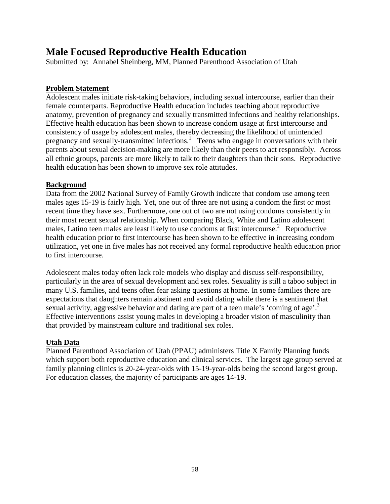# **Male Focused Reproductive Health Education**

Submitted by: Annabel Sheinberg, MM, Planned Parenthood Association of Utah

### **Problem Statement**

Adolescent males initiate risk-taking behaviors, including sexual intercourse, earlier than their female counterparts. Reproductive Health education includes teaching about reproductive anatomy, prevention of pregnancy and sexually transmitted infections and healthy relationships. Effective health education has been shown to increase condom usage at first intercourse and consistency of usage by adolescent males, thereby decreasing the likelihood of unintended pregnancy and sexually-transmitted infections.<sup>1</sup> Teens who engage in conversations with their parents about sexual decision-making are more likely than their peers to act responsibly. Across all ethnic groups, parents are more likely to talk to their daughters than their sons. Reproductive health education has been shown to improve sex role attitudes.

### **Background**

Data from the 2002 National Survey of Family Growth indicate that condom use among teen males ages 15-19 is fairly high. Yet, one out of three are not using a condom the first or most recent time they have sex. Furthermore, one out of two are not using condoms consistently in their most recent sexual relationship. When comparing Black, White and Latino adolescent males, Latino teen males are least likely to use condoms at first intercourse.<sup>2</sup> Reproductive health education prior to first intercourse has been shown to be effective in increasing condom utilization, yet one in five males has not received any formal reproductive health education prior to first intercourse.

Adolescent males today often lack role models who display and discuss self-responsibility, particularly in the area of sexual development and sex roles. Sexuality is still a taboo subject in many U.S. families, and teens often fear asking questions at home. In some families there are expectations that daughters remain abstinent and avoid dating while there is a sentiment that sexual activity, aggressive behavior and dating are part of a teen male's 'coming of age'.<sup>3</sup> Effective interventions assist young males in developing a broader vision of masculinity than that provided by mainstream culture and traditional sex roles.

### **Utah Data**

Planned Parenthood Association of Utah (PPAU) administers Title X Family Planning funds which support both reproductive education and clinical services. The largest age group served at family planning clinics is 20-24-year-olds with 15-19-year-olds being the second largest group. For education classes, the majority of participants are ages 14-19.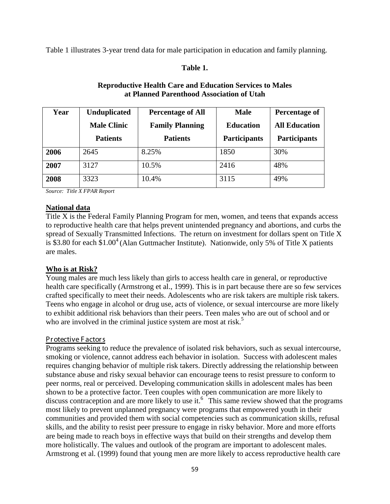Table 1 illustrates 3-year trend data for male participation in education and family planning.

#### **Table 1.**

| Year | <b>Unduplicated</b><br><b>Male Clinic</b> | <b>Percentage of All</b><br><b>Family Planning</b> | <b>Male</b><br><b>Education</b> | Percentage of<br><b>All Education</b> |  |
|------|-------------------------------------------|----------------------------------------------------|---------------------------------|---------------------------------------|--|
|      | <b>Patients</b>                           | <b>Patients</b>                                    | <b>Participants</b>             | <b>Participants</b>                   |  |
| 2006 | 2645                                      | 8.25%                                              | 1850                            | 30%                                   |  |
| 2007 | 3127                                      | 10.5%                                              | 2416                            | 48%                                   |  |
| 2008 | 3323                                      | 10.4%                                              | 3115                            | 49%                                   |  |

## **Reproductive Health Care and Education Services to Males at Planned Parenthood Association of Utah**

*Source: Title X FPAR Report*

#### **National data**

Title X is the Federal Family Planning Program for men, women, and teens that expands access to reproductive health care that helps prevent unintended pregnancy and abortions, and curbs the spread of Sexually Transmitted Infections. The return on investment for dollars spent on Title X is \$3.80 for each  $$1.00<sup>4</sup>$  (Alan Guttmacher Institute). Nationwide, only 5% of Title X patients are males.

#### **Who is at Risk?**

Young males are much less likely than girls to access health care in general, or reproductive health care specifically (Armstrong et al., 1999). This is in part because there are so few services crafted specifically to meet their needs. Adolescents who are risk takers are multiple risk takers. Teens who engage in alcohol or drug use, acts of violence, or sexual intercourse are more likely to exhibit additional risk behaviors than their peers. Teen males who are out of school and or who are involved in the criminal justice system are most at risk.<sup>5</sup>

#### Pr otective F actor s

Programs seeking to reduce the prevalence of isolated risk behaviors, such as sexual intercourse, smoking or violence, cannot address each behavior in isolation. Success with adolescent males requires changing behavior of multiple risk takers. Directly addressing the relationship between substance abuse and risky sexual behavior can encourage teens to resist pressure to conform to peer norms, real or perceived. Developing communication skills in adolescent males has been shown to be a protective factor. Teen couples with open communication are more likely to discuss contraception and are more likely to use it.<sup>6</sup> This same review showed that the programs most likely to prevent unplanned pregnancy were programs that empowered youth in their communities and provided them with social competencies such as communication skills, refusal skills, and the ability to resist peer pressure to engage in risky behavior. More and more efforts are being made to reach boys in effective ways that build on their strengths and develop them more holistically. The values and outlook of the program are important to adolescent males. Armstrong et al. (1999) found that young men are more likely to access reproductive health care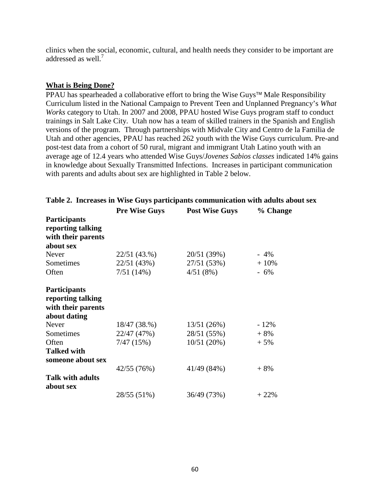clinics when the social, economic, cultural, and health needs they consider to be important are addressed as well.<sup>7</sup>

#### **What is Being Done?**

PPAU has spearheaded a collaborative effort to bring the Wise Guys™ Male Responsibility Curriculum listed in the National Campaign to Prevent Teen and Unplanned Pregnancy's *What Works* category to Utah. In 2007 and 2008, PPAU hosted Wise Guys program staff to conduct trainings in Salt Lake City. Utah now has a team of skilled trainers in the Spanish and English versions of the program. Through partnerships with Midvale City and Centro de la Familia de Utah and other agencies, PPAU has reached 262 youth with the Wise Guys curriculum. Pre-and post-test data from a cohort of 50 rural, migrant and immigrant Utah Latino youth with an average age of 12.4 years who attended Wise Guys/*Jovenes Sabios classes* indicated 14% gains in knowledge about Sexually Transmitted Infections. Increases in participant communication with parents and adults about sex are highlighted in Table 2 below.

|                                                                                | <b>Pre Wise Guys</b> | <b>Post Wise Guys</b> | % Change |
|--------------------------------------------------------------------------------|----------------------|-----------------------|----------|
| Participants<br>reporting talking<br>with their parents<br>about sex           |                      |                       |          |
| Never                                                                          | 22/51(43.%)          | 20/51 (39%)           | $-4\%$   |
| Sometimes                                                                      | 22/51 (43%)          | 27/51 (53%)           | $+10%$   |
| Often                                                                          | 7/51(14%)            | 4/51(8%)              | $-6%$    |
| <b>Participants</b><br>reporting talking<br>with their parents<br>about dating |                      |                       |          |
| Never                                                                          | 18/47 (38.%)         | 13/51(26%)            | $-12%$   |
| Sometimes                                                                      | 22/47 (47%)          | 28/51 (55%)           | $+8%$    |
| Often                                                                          | 7/47(15%)            | 10/51(20%)            | $+5%$    |
| <b>Talked with</b><br>someone about sex                                        |                      |                       |          |
|                                                                                | 42/55 (76%)          | 41/49 (84%)           | $+8%$    |
| <b>Talk with adults</b><br>about sex                                           |                      |                       |          |
|                                                                                | 28/55 (51%)          | 36/49 (73%)           | $+22%$   |

### **Table 2. Increases in Wise Guys participants communication with adults about sex**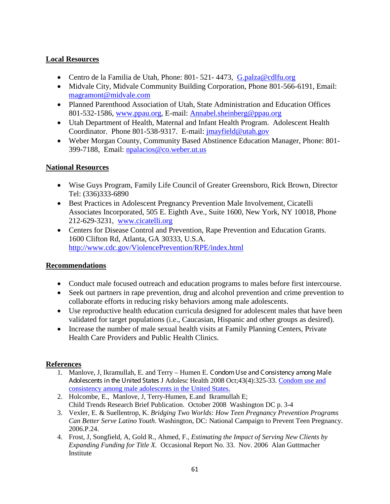## **Local Resources**

- Centro de la Familia de Utah, Phone: 801-521-4473, [G.palza@cdlfu.org](mailto:G.palza@cdlfu.org)
- Midvale City, Midvale Community Building Corporation, Phone 801-566-6191, Email: [magramont@midvale.com](mailto:magramont@midvale.com)
- Planned Parenthood Association of Utah, State Administration and Education Offices 801-532-1586, [www.ppau.org,](http://www.ppau.org/) E-mail: [Annabel.sheinberg@ppau.org](mailto:Annabel.sheinberg@ppau.org)
- Utah Department of Health, Maternal and Infant Health Program. Adolescent Health Coordinator. Phone 801-538-9317. E-mail: [jmayfield@utah.gov](mailto:jmayfield@utah.gov)
- Weber Morgan County, Community Based Abstinence Education Manager, Phone: 801- 399-7188, Email: [npalacios@co.weber.ut.us](mailto:npalacios@co.weber.ut.us)

## **National Resources**

- Wise Guys Program, Family Life Council of Greater Greensboro, Rick Brown, Director Tel: (336)333-6890
- Best Practices in Adolescent Pregnancy Prevention Male Involvement, Cicatelli Associates Incorporated, 505 E. Eighth Ave., Suite 1600, New York, NY 10018, Phone 212-629-3231, www.cicatelli.org
- Centers for Disease Control and Prevention, Rape Prevention and Education Grants. 1600 Clifton Rd, Atlanta, GA 30333, U.S.A. <http://www.cdc.gov/ViolencePrevention/RPE/index.html>

### **Recommendations**

- Conduct male focused outreach and education programs to males before first intercourse.
- Seek out partners in rape prevention, drug and alcohol prevention and crime prevention to collaborate efforts in reducing risky behaviors among male adolescents.
- Use reproductive health education curricula designed for adolescent males that have been validated for target populations (i.e., Caucasian, Hispanic and other groups as desired).
- Increase the number of male sexual health visits at Family Planning Centers, Private Health Care Providers and Public Health Clinics.

### **References**

- 1. Manlove, J, Ikramullah, E. and Terry Humen E. Condom Use and Consistency among Male Adolescents in the United States J Adolesc Health 2008 Oct;43(4):325-33. [Condom use and](http://www.ncbi.nlm.nih.gov/pubmed/18809129?ordinalpos=4&itool=EntrezSystem2.PEntrez.Pubmed.Pubmed_ResultsPanel.Pubmed_DefaultReportPanel.Pubmed_RVDocSum)  [consistency among male adolescents in the United States.](http://www.ncbi.nlm.nih.gov/pubmed/18809129?ordinalpos=4&itool=EntrezSystem2.PEntrez.Pubmed.Pubmed_ResultsPanel.Pubmed_DefaultReportPanel.Pubmed_RVDocSum)
- 2. Holcombe, E., Manlove, J, Terry-Humen, E.and Ikramullah E; Child Trends Research Brief Publication. October 2008 Washington DC p. 3-4
- 3. Vexler, E. & Suellentrop, K. *Bridging Two Worlds: How Teen Pregnancy Prevention Programs Can Better Serve Latino Youth.* Washington, DC: National Campaign to Prevent Teen Pregnancy. 2006.P.24.
- 4. Frost, J, Songfield, A, Gold R., Ahmed, F., *Estimating the Impact of Serving New Clients by Expanding Funding for Title X.* Occasional Report No. 33. Nov. 2006 Alan Guttmacher Institute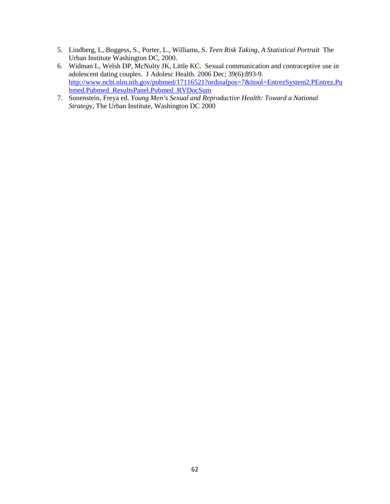- 5. Lindberg, L, Boggess, S., Porter, L., Williams, S. *Teen Risk Taking, A Statistical Portrait* The Urban Institute Washington DC, 2000.
- 6. Widman L, Welsh DP, McNulty JK, Little KC. Sexual communication and contraceptive use in adolescent dating couples. J Adolesc Health. 2006 Dec; 39(6):893-9. [http://www.ncbi.nlm.nih.gov/pubmed/17116521?ordinalpos=7&itool=EntrezSystem2.PEntrez.Pu](http://www.ncbi.nlm.nih.gov/pubmed/17116521?ordinalpos=7&itool=EntrezSystem2.PEntrez.Pubmed.Pubmed_ResultsPanel.Pubmed_RVDocSum) [bmed.Pubmed\\_ResultsPanel.Pubmed\\_RVDocSum](http://www.ncbi.nlm.nih.gov/pubmed/17116521?ordinalpos=7&itool=EntrezSystem2.PEntrez.Pubmed.Pubmed_ResultsPanel.Pubmed_RVDocSum)
- 7. Sonenstein, Freya ed. *Young Men's Sexual and Reproductive Health: Toward a National Strateg*y, The Urban Institute, Washington DC 2000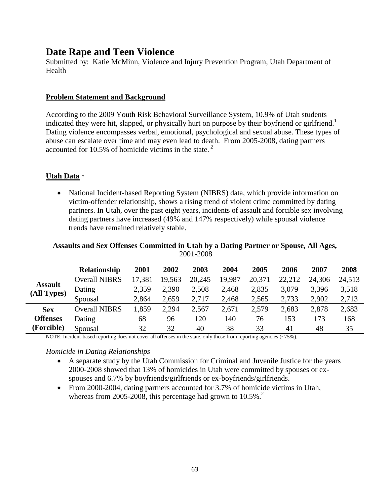# **Date Rape and Teen Violence**

Submitted by: Katie McMinn, Violence and Injury Prevention Program, Utah Department of Health

#### **Problem Statement and Background**

According to the 2009 Youth Risk Behavioral Surveillance System, 10.9% of Utah students indicated they were hit, slapped, or physically hurt on purpose by their boyfriend or girlfriend.<sup>1</sup> Dating violence encompasses verbal, emotional, psychological and sexual abuse. These types of abuse can escalate over time and may even lead to death. From 2005-2008, dating partners accounted for 10.5% of homicide victims in the state. <sup>2</sup>

### **Utah Data** \*

• National Incident-based Reporting System (NIBRS) data, which provide information on victim-offender relationship, shows a rising trend of violent crime committed by dating partners. In Utah, over the past eight years, incidents of assault and forcible sex involving dating partners have increased (49% and 147% respectively) while spousal violence trends have remained relatively stable.

#### **Assaults and Sex Offenses Committed in Utah by a Dating Partner or Spouse, All Ages,**  2001-2008

|                               | <b>Relationship</b>  | 2001   | 2002   | 2003   | 2004   | 2005   | 2006   | 2007   | 2008   |
|-------------------------------|----------------------|--------|--------|--------|--------|--------|--------|--------|--------|
| <b>Assault</b><br>(All Types) | <b>Overall NIBRS</b> | 17,381 | 19,563 | 20,245 | 19,987 | 20,371 | 22,212 | 24,306 | 24,513 |
|                               | Dating               | 2,359  | 2,390  | 2,508  | 2,468  | 2,835  | 3,079  | 3.396  | 3,518  |
|                               | Spousal              | 2,864  | 2,659  | 2,717  | 2,468  | 2,565  | 2,733  | 2,902  | 2,713  |
| <b>Sex</b>                    | <b>Overall NIBRS</b> | ,859   | 2,294  | 2,567  | 2,671  | 2,579  | 2,683  | 2,878  | 2,683  |
| <b>Offenses</b><br>(Forcible) | Dating               | 68     | 96     | 120    | 140    | 76     | 153    | 173    | 168    |
|                               | Spousal              | 32     | 32     | 40     | 38     | 33     | 41     | 48     | 35     |

NOTE: Incident-based reporting does not cover all offenses in the state, only those from reporting agencies (~75%).

#### *Homicide in Dating Relationships*

- A separate study by the Utah Commission for Criminal and Juvenile Justice for the years 2000-2008 showed that 13% of homicides in Utah were committed by spouses or exspouses and 6.7% by boyfriends/girlfriends or ex-boyfriends/girlfriends.
- From 2000-2004, dating partners accounted for 3.7% of homicide victims in Utah, whereas from 2005-2008, this percentage had grown to  $10.5\%$ .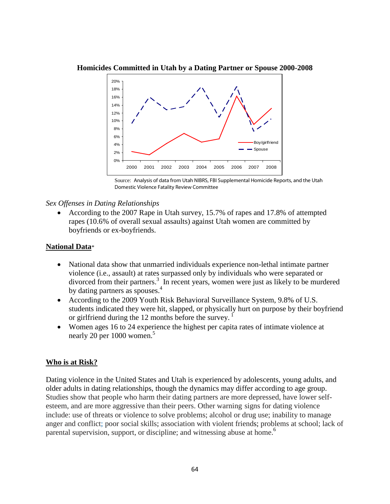

**Homicides Committed in Utah by a Dating Partner or Spouse 2000-2008**

#### *Sex Offenses in Dating Relationships*

• According to the 2007 Rape in Utah survey, 15.7% of rapes and 17.8% of attempted rapes (10.6% of overall sexual assaults) against Utah women are committed by boyfriends or ex-boyfriends.

#### **National Data**\*

- National data show that unmarried individuals experience non-lethal intimate partner violence (i.e., assault) at rates surpassed only by individuals who were separated or divorced from their partners.<sup>3</sup> In recent years, women were just as likely to be murdered by dating partners as spouses.<sup>4</sup>
- According to the 2009 Youth Risk Behavioral Surveillance System, 9.8% of U.S. students indicated they were hit, slapped, or physically hurt on purpose by their boyfriend or girlfriend during the 12 months before the survey.<sup>1</sup>
- Women ages 16 to 24 experience the highest per capita rates of intimate violence at nearly 20 per 1000 women.<sup>5</sup>

#### **Who is at Risk?**

Dating violence in the United States and Utah is experienced by adolescents, young adults, and older adults in dating relationships, though the dynamics may differ according to age group. Studies show that people who harm their dating partners are more depressed, have lower selfesteem, and are more aggressive than their peers. Other warning signs for dating violence include: use of threats or violence to solve problems; alcohol or drug use; inability to manage anger and conflict; poor social skills; association with violent friends; problems at school; lack of parental supervision, support, or discipline; and witnessing abuse at home.<sup>6</sup>

Source: Analysis of data from Utah NIBRS, FBI Supplemental Homicide Reports, and the Utah Domestic Violence Fatality Review Committee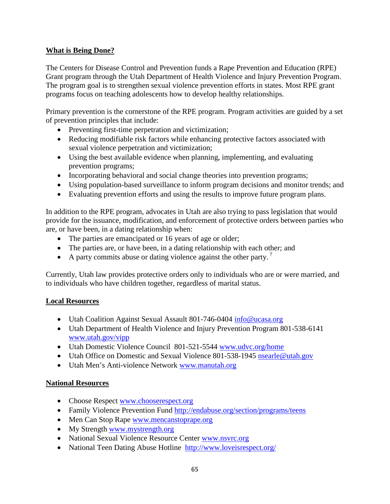## **What is Being Done?**

The Centers for Disease Control and Prevention funds a Rape Prevention and Education (RPE) Grant program through the Utah Department of Health Violence and Injury Prevention Program. The program goal is to strengthen sexual violence prevention efforts in states. Most RPE grant programs focus on teaching adolescents how to develop healthy relationships.

Primary prevention is the cornerstone of the RPE program. Program activities are guided by a set of prevention principles that include:

- Preventing first-time perpetration and victimization;
- Reducing modifiable risk factors while enhancing protective factors associated with sexual violence perpetration and victimization;
- Using the best available evidence when planning, implementing, and evaluating prevention programs;
- Incorporating behavioral and social change theories into prevention programs;
- Using population-based surveillance to inform program decisions and monitor trends; and
- Evaluating prevention efforts and using the results to improve future program plans.

In addition to the RPE program, advocates in Utah are also trying to pass legislation that would provide for the issuance, modification, and enforcement of protective orders between parties who are, or have been, in a dating relationship when:

- The parties are emancipated or 16 years of age or older;
- The parties are, or have been, in a dating relationship with each other; and
- A party commits abuse or dating violence against the other party.<sup>7</sup>

Currently, Utah law provides protective orders only to individuals who are or were married, and to individuals who have children together, regardless of marital status.

### **Local Resources**

- Utah Coalition Against Sexual Assault 801-746-0404 [info@ucasa.org](mailto:info@ucasa.org)
- Utah Department of Health Violence and Injury Prevention Program 801-538-6141 [www.utah.gov/vipp](http://www.utah.gov/vipp)
- Utah Domestic Violence Council 801-521-5544 [www.udvc.org/home](http://www.udvc.org/home)
- Utah Office on Domestic and Sexual Violence 801-538-1945 [nsearle@utah.gov](mailto:nsearle@utah.gov)
- Utah Men's Anti-violence Network [www.manutah.org](http://www.manutah.org/)

### **National Resources**

- Choose Respect [www.chooserespect.org](http://www.chooserespect.org/)
- Family Violence Prevention Fund<http://endabuse.org/section/programs/teens>
- Men Can Stop Rape [www.mencanstoprape.org](http://www.mencanstoprape.org/)
- My Strength [www.mystrength.org](http://www.mystrength.org/)
- National Sexual Violence Resource Center [www.nsvrc.org](http://www.nsvrc.org/)
- National Teen Dating Abuse Hotline <http://www.loveisrespect.org/>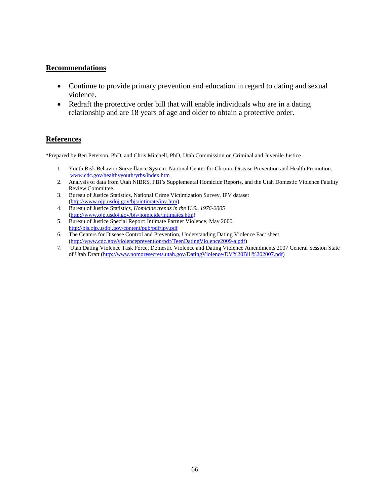#### **Recommendations**

- Continue to provide primary prevention and education in regard to dating and sexual violence.
- Redraft the protective order bill that will enable individuals who are in a dating relationship and are 18 years of age and older to obtain a protective order.

#### **References**

\*Prepared by Ben Peterson, PhD, and Chris Mitchell, PhD, Utah Commission on Criminal and Juvenile Justice

- 1. Youth Risk Behavior Surveillance System. National Center for Chronic Disease Prevention and Health Promotion. [www.cdc.gov/healthyyouth/yrbs/index.htm](http://www.cdc.gov/healthyyouth/yrbs/index.htm)
- 2. Analysis of data from Utah NIBRS, FBI's Supplemental Homicide Reports, and the Utah Domestic Violence Fatality Review Committee.
- 3. Bureau of Justice Statistics, National Crime Victimization Survey, IPV dataset [\(http://www.ojp.usdoj.gov/bjs/intimate/ipv.htm\)](http://www.ojp.usdoj.gov/bjs/intimate/ipv.htm)
- 4. Bureau of Justice Statistics, *Homicide trends in the U.S., 1976-2005* [\(http://www.ojp.usdoj.gov/bjs/homicide/intimates.htm\)](http://www.ojp.usdoj.gov/bjs/homicide/intimates.htm)
- 5. Bureau of Justice Special Report: Intimate Partner Violence, May 2000. <http://bjs.ojp.usdoj.gov/content/pub/pdf/ipv.pdf>
- 6. The Centers for Disease Control and Prevention, Understanding Dating Violence Fact sheet [\(http://www.cdc.gov/violenceprevention/pdf/TeenDatingViolence2009-a.pdf\)](http://www.cdc.gov/violenceprevention/pdf/TeenDatingViolence2009-a.pdf)
- 7. Utah Dating Violence Task Force, Domestic Violence and Dating Violence Amendments 2007 General Session State of Utah Draft [\(http://www.nomoresecrets.utah.gov/DatingViolence/DV%20Bill%202007.pdf\)](http://www.nomoresecrets.utah.gov/DatingViolence/DV%20Bill%202007.pdf)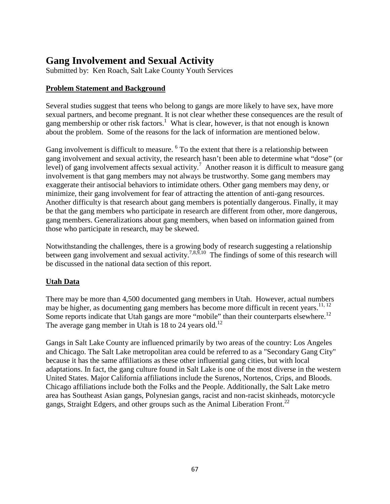# **Gang Involvement and Sexual Activity**

Submitted by: Ken Roach, Salt Lake County Youth Services

### **Problem Statement and Background**

Several studies suggest that teens who belong to gangs are more likely to have sex, have more sexual partners, and become pregnant. It is not clear whether these consequences are the result of gang membership or other risk factors.<sup>1</sup> What is clear, however, is that not enough is known about the problem. Some of the reasons for the lack of information are mentioned below.

Gang involvement is difficult to measure. <sup>6</sup> To the extent that there is a relationship between gang involvement and sexual activity, the research hasn't been able to determine what "dose" (or level) of gang involvement affects sexual activity.<sup>7</sup> Another reason it is difficult to measure gang involvement is that gang members may not always be trustworthy. Some gang members may exaggerate their antisocial behaviors to intimidate others. Other gang members may deny, or minimize, their gang involvement for fear of attracting the attention of anti-gang resources. Another difficulty is that research about gang members is potentially dangerous. Finally, it may be that the gang members who participate in research are different from other, more dangerous, gang members. Generalizations about gang members, when based on information gained from those who participate in research, may be skewed.

Notwithstanding the challenges, there is a growing body of research suggesting a relationship between gang involvement and sexual activity.<sup>7,8,9,10</sup> The findings of some of this research will be discussed in the national data section of this report.

### **Utah Data**

There may be more than 4,500 documented gang members in Utah. However, actual numbers may be higher, as documenting gang members has become more difficult in recent years.<sup>11, 12</sup> Some reports indicate that Utah gangs are more "mobile" than their counterparts elsewhere.<sup>12</sup> The average gang member in Utah is 18 to 24 years old.<sup>12</sup>

Gangs in Salt Lake County are influenced primarily by two areas of the country: Los Angeles and Chicago. The Salt Lake metropolitan area could be referred to as a "Secondary Gang City" because it has the same affiliations as these other influential gang cities, but with local adaptations. In fact, the gang culture found in Salt Lake is one of the most diverse in the western United States. Major California affiliations include the Surenos, Nortenos, Crips, and Bloods. Chicago affiliations include both the Folks and the People. Additionally, the Salt Lake metro area has Southeast Asian gangs, Polynesian gangs, racist and non-racist skinheads, motorcycle gangs, Straight Edgers, and other groups such as the Animal Liberation Front.<sup>22</sup>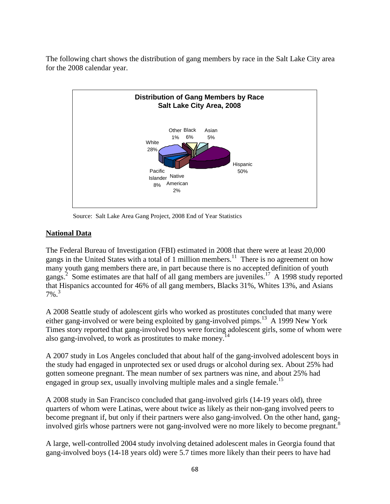The following chart shows the distribution of gang members by race in the Salt Lake City area for the 2008 calendar year.



Source: Salt Lake Area Gang Project, 2008 End of Year Statistics

## **National Data**

The Federal Bureau of Investigation (FBI) estimated in 2008 that there were at least 20,000 gangs in the United States with a total of 1 million members.<sup>11</sup> There is no agreement on how many youth gang members there are, in part because there is no accepted definition of youth gangs.<sup>2</sup> Some estimates are that half of all gang members are juveniles.<sup>17</sup> A 1998 study reported that Hispanics accounted for 46% of all gang members, Blacks 31%, Whites 13%, and Asians 7%. 3

A 2008 Seattle study of adolescent girls who worked as prostitutes concluded that many were either gang-involved or were being exploited by gang-involved pimps.<sup>13</sup> A 1999 New York Times story reported that gang-involved boys were forcing adolescent girls, some of whom were also gang-involved, to work as prostitutes to make money.<sup>14</sup>

A 2007 study in Los Angeles concluded that about half of the gang-involved adolescent boys in the study had engaged in unprotected sex or used drugs or alcohol during sex. About 25% had gotten someone pregnant. The mean number of sex partners was nine, and about 25% had engaged in group sex, usually involving multiple males and a single female.<sup>15</sup>

A 2008 study in San Francisco concluded that gang-involved girls (14-19 years old), three quarters of whom were Latinas, were about twice as likely as their non-gang involved peers to become pregnant if, but only if their partners were also gang-involved. On the other hand, ganginvolved girls whose partners were not gang-involved were no more likely to become pregnant.<sup>8</sup>

A large, well-controlled 2004 study involving detained adolescent males in Georgia found that gang-involved boys (14-18 years old) were 5.7 times more likely than their peers to have had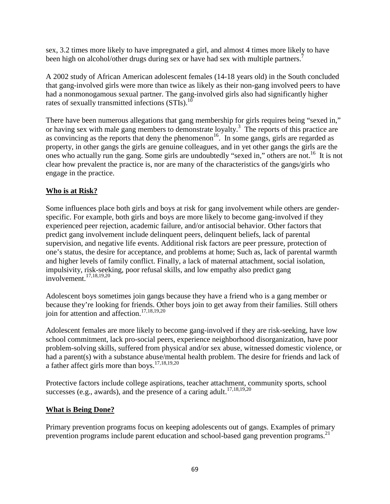sex, 3.2 times more likely to have impregnated a girl, and almost 4 times more likely to have been high on alcohol/other drugs during sex or have had sex with multiple partners.<sup>7</sup>

A 2002 study of African American adolescent females (14-18 years old) in the South concluded that gang-involved girls were more than twice as likely as their non-gang involved peers to have had a nonmonogamous sexual partner. The gang-involved girls also had significantly higher rates of sexually transmitted infections  $(STIs).$ <sup>10</sup>

There have been numerous allegations that gang membership for girls requires being "sexed in," or having sex with male gang members to demonstrate loyalty. <sup>3</sup> The reports of this practice are as convincing as the reports that deny the phenomenon<sup>16</sup>. In some gangs, girls are regarded as property, in other gangs the girls are genuine colleagues, and in yet other gangs the girls are the ones who actually run the gang. Some girls are undoubtedly "sexed in," others are not. 16 It is not clear how prevalent the practice is, nor are many of the characteristics of the gangs/girls who engage in the practice.

## **Who is at Risk?**

Some influences place both girls and boys at risk for gang involvement while others are genderspecific. For example, both girls and boys are more likely to become gang-involved if they experienced peer rejection, academic failure, and/or antisocial behavior. Other factors that predict gang involvement include delinquent peers, delinquent beliefs, lack of parental supervision, and negative life events. Additional risk factors are peer pressure, protection of one's status, the desire for acceptance, and problems at home; Such as, lack of parental warmth and higher levels of family conflict. Finally, a lack of maternal attachment, social isolation, impulsivity, risk-seeking, poor refusal skills, and low empathy also predict gang involvement. 17,18,19,20

Adolescent boys sometimes join gangs because they have a friend who is a gang member or because they're looking for friends. Other boys join to get away from their families. Still others join for attention and affection. 17,18,19,20

Adolescent females are more likely to become gang-involved if they are risk-seeking, have low school commitment, lack pro-social peers, experience neighborhood disorganization, have poor problem-solving skills, suffered from physical and/or sex abuse, witnessed domestic violence, or had a parent(s) with a substance abuse/mental health problem. The desire for friends and lack of a father affect girls more than boys. 17,18,19,20

Protective factors include college aspirations, teacher attachment, community sports, school successes (e.g., awards), and the presence of a caring adult.<sup>17,18,19,20</sup>

## **What is Being Done?**

Primary prevention programs focus on keeping adolescents out of gangs. Examples of primary prevention programs include parent education and school-based gang prevention programs.<sup>21</sup>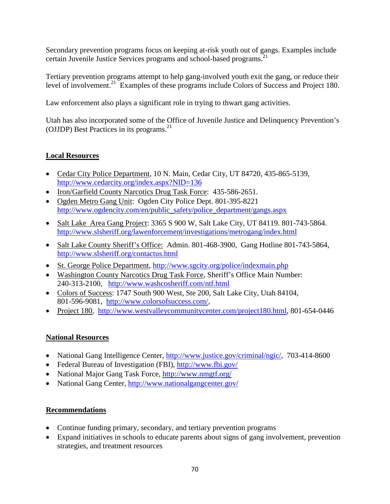Secondary prevention programs focus on keeping at-risk youth out of gangs. Examples include certain Juvenile Justice Services programs and school-based programs. 21

Tertiary prevention programs attempt to help gang-involved youth exit the gang, or reduce their level of involvement. <sup>21</sup> Examples of these programs include Colors of Success and Project 180.

Law enforcement also plays a significant role in trying to thwart gang activities.

Utah has also incorporated some of the Office of Juvenile Justice and Delinquency Prevention's (OJJDP) Best Practices in its programs. 21

## **Local Resources**

- Cedar City Police Department, 10 N. Main, Cedar City, UT 84720, 435-865-5139, <http://www.cedarcity.org/index.aspx?NID=136>
- Iron/Garfield County Narcotics Drug Task Force: 435-586-2651.
- Ogden Metro Gang Unit: Ogden City Police Dept. 801-395-8221 [http://www.ogdencity.com/en/public\\_safety/police\\_department/gangs.aspx](http://www.ogdencity.com/en/public_safety/police_department/gangs.aspx)
- Salt Lake Area Gang Project: 3365 S 900 W, Salt Lake City, UT 84119. 801-743-5864. <http://www.slsheriff.org/lawenforcement/investigations/metrogang/index.html>
- Salt Lake County Sheriff's Office: Admin. 801-468-3900, Gang Hotline 801-743-5864, <http://www.slsheriff.org/contactus.html>
- St. George Police Department,<http://www.sgcity.org/police/indexmain.php>
- Washington County Narcotics Drug Task Force, Sheriff's Office Main Number: 240-313-2100, <http://www.washcosheriff.com/ntf.html>
- Colors of Success: 1747 South 900 West, Ste 200, Salt Lake City, Utah 84104, 801-596-9081, [http://www.colorsofsuccess.com/,](http://www.colorsofsuccess.com/)
- Project 180, [http://www.westvalleycommunitycenter.com/project180.html,](http://www.westvalleycommunitycenter.com/project180.html) 801-654-0446

# **National Resources**

- National Gang Intelligence Center, [http://www.justice.gov/criminal/ngic/,](http://www.justice.gov/criminal/ngic/) 703-414-8600
- Federal Bureau of Investigation (FBI),<http://www.fbi.gov/>
- National Major Gang Task Force,<http://www.nmgtf.org/>
- National Gang Center,<http://www.nationalgangcenter.gov/>

# **Recommendations**

- Continue funding primary, secondary, and tertiary prevention programs
- Expand initiatives in schools to educate parents about signs of gang involvement, prevention strategies, and treatment resources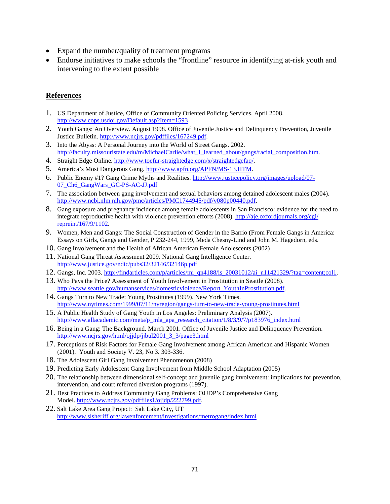- Expand the number/quality of treatment programs
- Endorse initiatives to make schools the "frontline" resource in identifying at-risk youth and intervening to the extent possible

#### **References**

- 1. US Department of Justice, Office of Community Oriented Policing Services. April 2008. <http://www.cops.usdoj.gov/Default.asp?Item=1593>
- 2. Youth Gangs: An Overview. August 1998. Office of Juvenile Justice and Delinquency Prevention, Juvenile Justice Bulletin. [http://www.ncjrs.gov/pdffiles/167249.pdf.](http://www.ncjrs.gov/pdffiles/167249.pdf)
- 3. Into the Abyss: A Personal Journey into the World of Street Gangs. 2002. [http://faculty.missouristate.edu/m/MichaelCarlie/what\\_I\\_learned\\_about/gangs/racial\\_composition.htm.](http://faculty.missouristate.edu/m/MichaelCarlie/what_I_learned_about/gangs/racial_composition.htm)
- 4. Straight Edge Online. [http://www.toefur-straightedge.com/x/straightedgefaq/.](http://www.toefur-straightedge.com/x/straightedgefaq/)
- 5. America's Most Dangerous Gang[. http://www.apfn.org/APFN/MS-13.HTM.](http://www.apfn.org/APFN/MS-13.HTM)
- 6. Public Enemy #1? Gang Crime Myths and Realities. [http://www.justicepolicy.org/images/upload/07-](http://www.justicepolicy.org/images/upload/07-07_Ch6_GangWars_GC-PS-AC-JJ.pdf) [07\\_Ch6\\_GangWars\\_GC-PS-AC-JJ.pdf](http://www.justicepolicy.org/images/upload/07-07_Ch6_GangWars_GC-PS-AC-JJ.pdf)
- 7. The association between gang involvement and sexual behaviors among detained adolescent males (2004). [http://www.ncbi.nlm.nih.gov/pmc/articles/PMC1744945/pdf/v080p00440.pdf.](http://www.ncbi.nlm.nih.gov/pmc/articles/PMC1744945/pdf/v080p00440.pdf)
- 8. Gang exposure and pregnancy incidence among female adolescents in San Francisco: evidence for the need to integrate reproductive health with violence prevention efforts (2008)[. http://aje.oxfordjournals.org/cgi/](http://aje.oxfordjournals.org/cgi/%20repreint/167/9/1102)  [repreint/167/9/1102.](http://aje.oxfordjournals.org/cgi/%20repreint/167/9/1102)
- 9. Women, Men and Gangs: The Social Construction of Gender in the Barrio (From Female Gangs in America: Essays on Girls, Gangs and Gender, P 232-244, 1999, Meda Chesny-Lind and John M. Hagedorn, eds.
- 10. Gang Involvement and the Health of African American Female Adolescents (2002)
- 11. National Gang Threat Assessment 2009. National Gang Intelligence Center. <http://www.justice.gov/ndic/pubs32/32146/32146p.pdf>
- 12. Gangs, Inc. 2003. [http://findarticles.com/p/articles/mi\\_qn4188/is\\_20031012/ai\\_n11421329/?tag=content;col1.](http://findarticles.com/p/articles/mi_qn4188/is_20031012/ai_n11421329/?tag=content;col1)
- 13. Who Pays the Price? Assessment of Youth Involvement in Prostitution in Seattle (2008). [http://www.seattle.gov/humanservices/domesticviolence/Report\\_YouthInProstitution.pdf.](http://www.seattle.gov/humanservices/domesticviolence/Report_YouthInProstitution.pdf)
- 14. Gangs Turn to New Trade: Young Prostitutes (1999). New York Times. <http://www.nytimes.com/1999/07/11/nyregion/gangs-turn-to-new-trade-young-prostitutes.html>
- 15. A Public Health Study of Gang Youth in Los Angeles: Preliminary Analysis (2007). [http://www.allacademic.com/meta/p\\_mla\\_apa\\_research\\_citation/1/8/3/9/7/p183976\\_index.html](http://www.allacademic.com/meta/p_mla_apa_research_citation/1/8/3/9/7/p183976_index.html)
- 16. Being in a Gang: The Background. March 2001. Office of Juvenile Justice and Delinquency Prevention. [http://www.ncjrs.gov/html/ojjdp/jjbul2001\\_3\\_3/page3.html](http://www.ncjrs.gov/html/ojjdp/jjbul2001_3_3/page3.html)
- 17. Perceptions of Risk Factors for Female Gang Involvement among African American and Hispanic Women (2001). Youth and Society V. 23, No 3. 303-336.
- 18. The Adolescent Girl Gang Involvement Phenomenon (2008)
- 19. Predicting Early Adolescent Gang Involvement from Middle School Adaptation (2005)
- 20. The relationship between dimensional self-concept and juvenile gang involvement: implications for prevention, intervention, and court referred diversion programs (1997).
- 21. Best Practices to Address Community Gang Problems: OJJDP's Comprehensive Gang Model[. http://www.ncjrs.gov/pdffiles1/ojjdp/222799.pdf.](http://www.ncjrs.gov/pdffiles1/ojjdp/222799.pdf)
- 22. Salt Lake Area Gang Project: Salt Lake City, UT <http://www.slsheriff.org/lawenforcement/investigations/metrogang/index.html>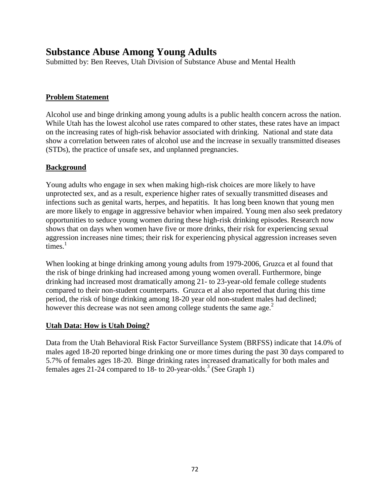# **Substance Abuse Among Young Adults**

Submitted by: Ben Reeves, Utah Division of Substance Abuse and Mental Health

## **Problem Statement**

Alcohol use and binge drinking among young adults is a public health concern across the nation. While Utah has the lowest alcohol use rates compared to other states, these rates have an impact on the increasing rates of high-risk behavior associated with drinking. National and state data show a correlation between rates of alcohol use and the increase in sexually transmitted diseases (STDs), the practice of unsafe sex, and unplanned pregnancies.

### **Background**

Young adults who engage in sex when making high-risk choices are more likely to have unprotected sex, and as a result, experience higher rates of sexually transmitted diseases and infections such as genital warts, herpes, and hepatitis. It has long been known that young men are more likely to engage in aggressive behavior when impaired. Young men also seek predatory opportunities to seduce young women during these high-risk drinking episodes. Research now shows that on days when women have five or more drinks, their risk for experiencing sexual aggression increases nine times; their risk for experiencing physical aggression increases seven  $time<sub>1</sub>$ 

When looking at binge drinking among young adults from 1979-2006, Gruzca et al found that the risk of binge drinking had increased among young women overall. Furthermore, binge drinking had increased most dramatically among 21- to 23-year-old female college students compared to their non-student counterparts. Gruzca et al also reported that during this time period, the risk of binge drinking among 18-20 year old non-student males had declined; however this decrease was not seen among college students the same age. $<sup>2</sup>$ </sup>

### **Utah Data: How is Utah Doing?**

Data from the Utah Behavioral Risk Factor Surveillance System (BRFSS) indicate that 14.0% of males aged 18-20 reported binge drinking one or more times during the past 30 days compared to 5.7% of females ages 18-20. Binge drinking rates increased dramatically for both males and females ages 21-24 compared to 18- to 20-year-olds.<sup>3</sup> (See Graph 1)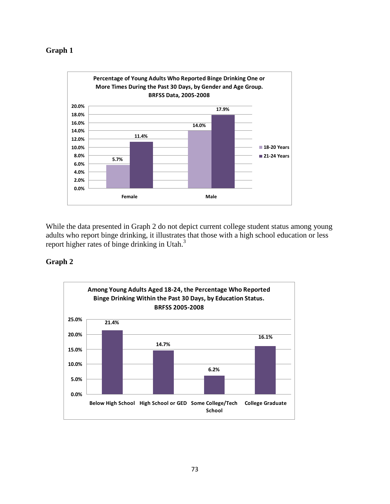## **Graph 1**



While the data presented in Graph 2 do not depict current college student status among young adults who report binge drinking, it illustrates that those with a high school education or less report higher rates of binge drinking in Utah.<sup>3</sup>

# **Graph 2**

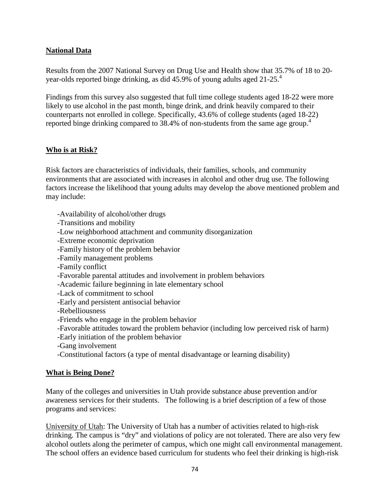# **National Data**

Results from the 2007 National Survey on Drug Use and Health show that 35.7% of 18 to 20 year-olds reported binge drinking, as did 45.9% of young adults aged 21-25.4

Findings from this survey also suggested that full time college students aged 18-22 were more likely to use alcohol in the past month, binge drink, and drink heavily compared to their counterparts not enrolled in college. Specifically, 43.6% of college students (aged 18-22) reported binge drinking compared to 38.4% of non-students from the same age group.<sup>4</sup>

# **Who is at Risk?**

Risk factors are characteristics of individuals, their families, schools, and community environments that are associated with increases in alcohol and other drug use. The following factors increase the likelihood that young adults may develop the above mentioned problem and may include:

-Availability of alcohol/other drugs

-Transitions and mobility

-Low neighborhood attachment and community disorganization

-Extreme economic deprivation

-Family history of the problem behavior

-Family management problems

-Family conflict

-Favorable parental attitudes and involvement in problem behaviors

-Academic failure beginning in late elementary school

-Lack of commitment to school

-Early and persistent antisocial behavior

-Rebelliousness

-Friends who engage in the problem behavior

-Favorable attitudes toward the problem behavior (including low perceived risk of harm)

-Early initiation of the problem behavior

-Gang involvement

-Constitutional factors (a type of mental disadvantage or learning disability)

#### **What is Being Done?**

Many of the colleges and universities in Utah provide substance abuse prevention and/or awareness services for their students. The following is a brief description of a few of those programs and services:

University of Utah: The University of Utah has a number of activities related to high-risk drinking. The campus is "dry" and violations of policy are not tolerated. There are also very few alcohol outlets along the perimeter of campus, which one might call environmental management. The school offers an evidence based curriculum for students who feel their drinking is high-risk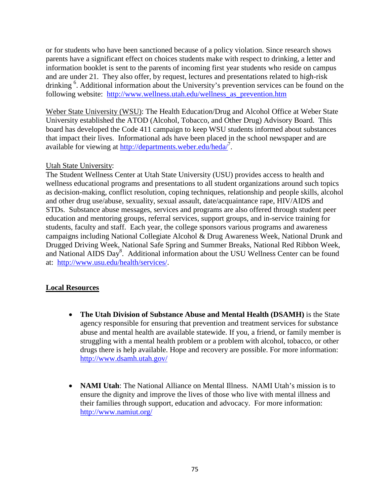or for students who have been sanctioned because of a policy violation. Since research shows parents have a significant effect on choices students make with respect to drinking, a letter and information booklet is sent to the parents of incoming first year students who reside on campus and are under 21. They also offer, by request, lectures and presentations related to high-risk drinking <sup>6</sup>. Additional information about the University's prevention services can be found on the following website: [http://www.wellness.utah.edu/wellness\\_as\\_prevention.htm](http://www.wellness.utah.edu/wellness_as_prevention.htm)

Weber State University (WSU): The Health Education/Drug and Alcohol Office at Weber State University established the ATOD (Alcohol, Tobacco, and Other Drug) Advisory Board. This board has developed the Code 411 campaign to keep WSU students informed about substances that impact their lives. Informational ads have been placed in the school newspaper and are available for viewing at<http://departments.weber.edu/heda/><sup>7</sup>.

#### Utah State University:

The Student Wellness Center at Utah State University (USU) provides access to health and wellness educational programs and presentations to all student organizations around such topics as decision-making, conflict resolution, coping techniques, relationship and people skills, alcohol and other drug use/abuse, sexuality, sexual assault, date/acquaintance rape, HIV/AIDS and STDs. Substance abuse messages, services and programs are also offered through student peer education and mentoring groups, referral services, support groups, and in-service training for students, faculty and staff. Each year, the college sponsors various programs and awareness campaigns including National Collegiate Alcohol & Drug Awareness Week, National Drunk and Drugged Driving Week, National Safe Spring and Summer Breaks, National Red Ribbon Week, and National AIDS Day<sup>8</sup>. Additional information about the USU Wellness Center can be found at: [http://www.usu.edu/health/services/.](http://www.usu.edu/health/services/)

# **Local Resources**

- **The Utah Division of Substance Abuse and Mental Health (DSAMH)** is the State agency responsible for ensuring that prevention and treatment services for substance abuse and mental health are available statewide. If you, a friend, or family member is struggling with a mental health problem or a problem with alcohol, tobacco, or other drugs there is help available. Hope and recovery are possible. For more information: <http://www.dsamh.utah.gov/>
- **NAMI Utah**: The National Alliance on Mental Illness. NAMI Utah's mission is to ensure the dignity and improve the lives of those who live with mental illness and their families through support, education and advocacy. For more information: <http://www.namiut.org/>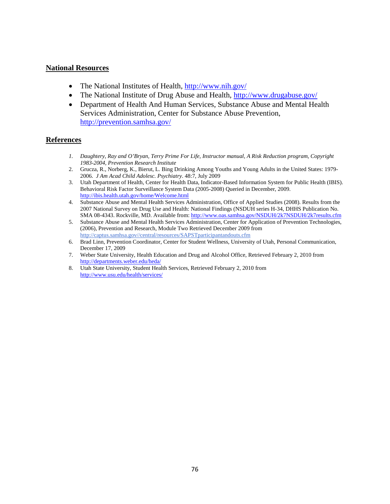#### **National Resources**

- The National Institutes of Health,<http://www.nih.gov/>
- The National Institute of Drug Abuse and Health,<http://www.drugabuse.gov/>
- Department of Health And Human Services, Substance Abuse and Mental Health Services Administration, Center for Substance Abuse Prevention, <http://prevention.samhsa.gov/>

#### **References**

- *1. Daughtery, Ray and O'Bryan, Terry Prime For Life, Instructor manual, A Risk Reduction program, Copyright 1983-2004, Prevention Research Institute*
- 2. Grucza, R., Norberg, K., Bierut, L. Bing Drinking Among Youths and Young Adults in the United States: 1979- 2006. *J Am Acad Child Adolesc. Psychiatry*. 48:7, July 2009
- 3. Utah Department of Health, Center for Health Data, Indicator-Based Information System for Public Health (IBIS). Behavioral Risk Factor Surveillance System Data (2005-2008) Queried in December, 2009. <http://ibis.health.utah.gov/home/Welcome.html>
- 4. Substance Abuse and Mental Health Services Administration, Office of Applied Studies (2008). Results from the 2007 National Survey on Drug Use and Health: National Findings (NSDUH series H-34, DHHS Publication No. SMA 08-4343. Rockville, MD. Available from:<http://www.oas.samhsa.gov/NSDUH/2k7NSDUH/2k7results.cfm>
- 5. Substance Abuse and Mental Health Services Administration, Center for Application of Prevention Technologies, (2006), Prevention and Research, Module Two Retrieved December 2009 from [http://captus.samhsa.gov//central/resources/SAPSTparticipantandouts.cfm](http://captus.samhsa.gov/central/resources/SAPSTparticipantandouts.cfm)
- 6. Brad Linn, Prevention Coordinator, Center for Student Wellness, University of Utah, Personal Communication, December 17, 2009
- 7. Weber State University, Health Education and Drug and Alcohol Office, Retrieved February 2, 2010 from <http://departments.weber.edu/heda/>
- 8. Utah State University, Student Health Services, Retrieved February 2, 2010 from <http://www.usu.edu/health/services/>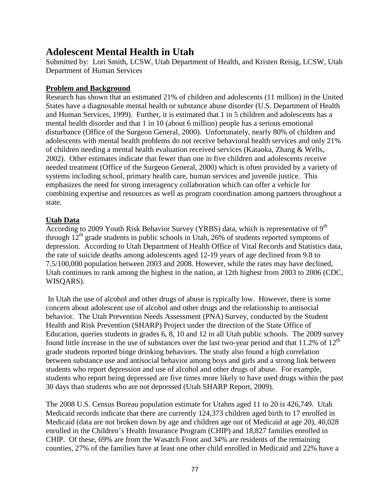# **Adolescent Mental Health in Utah**

Submitted by: Lori Smith, LCSW, Utah Department of Health, and Kristen Reisig, LCSW, Utah Department of Human Services

## **Problem and Background**

Research has shown that an estimated 21% of children and adolescents (11 million) in the United States have a diagnosable mental health or substance abuse disorder (U.S. Department of Health and Human Services, 1999). Further, it is estimated that 1 in 5 children and adolescents has a mental health disorder and that 1 in 10 (about 6 million) people has a serious emotional disturbance (Office of the Surgeon General, 2000). Unfortunately, nearly 80% of children and adolescents with mental health problems do not receive behavioral health services and only 21% of children needing a mental health evaluation received services (Kataoka, Zhang & Wells, 2002). Other estimates indicate that fewer than one in five children and adolescents receive needed treatment (Office of the Surgeon General, 2000) which is often provided by a variety of systems including school, primary health care, human services and juvenile justice. This emphasizes the need for strong interagency collaboration which can offer a vehicle for combining expertise and resources as well as program coordination among partners throughout a state.

#### **Utah Data**

According to 2009 Youth Risk Behavior Survey (YRBS) data, which is representative of  $9<sup>th</sup>$ through  $12<sup>th</sup>$  grade students in public schools in Utah, 26% of students reported symptoms of depression. According to Utah Department of Health Office of Vital Records and Statistics data, the rate of suicide deaths among adolescents aged 12-19 years of age declined from 9.8 to 7.5/100,000 population between 2003 and 2008. However, while the rates may have declined, Utah continues to rank among the highest in the nation, at 12th highest from 2003 to 2006 (CDC, WISQARS).

In Utah the use of alcohol and other drugs of abuse is typically low. However, there is some concern about adolescent use of alcohol and other drugs and the relationship to antisocial behavior. The Utah Prevention Needs Assessment (PNA) Survey, conducted by the Student Health and Risk Prevention (SHARP) Project under the direction of the State Office of Education, queries students in grades 6, 8, 10 and 12 in all Utah public schools. The 2009 survey found little increase in the use of substances over the last two-year period and that  $11.2\%$  of  $12<sup>th</sup>$ grade students reported binge drinking behaviors. The study also found a high correlation between substance use and antisocial behavior among boys and girls and a strong link between students who report depression and use of alcohol and other drugs of abuse. For example, students who report being depressed are five times more likely to have used drugs within the past 30 days than students who are not depressed (Utah SHARP Report, 2009).

The 2008 U.S. Census Bureau population estimate for Utahns aged 11 to 20 is 426,749. Utah Medicaid records indicate that there are currently 124,373 children aged birth to 17 enrolled in Medicaid (data are not broken down by age and children age out of Medicaid at age 20), 40,028 enrolled in the Children's Health Insurance Program (CHIP) and 18,827 families enrolled in CHIP. Of these, 69% are from the Wasatch Front and 34% are residents of the remaining counties, 27% of the families have at least one other child enrolled in Medicaid and 22% have a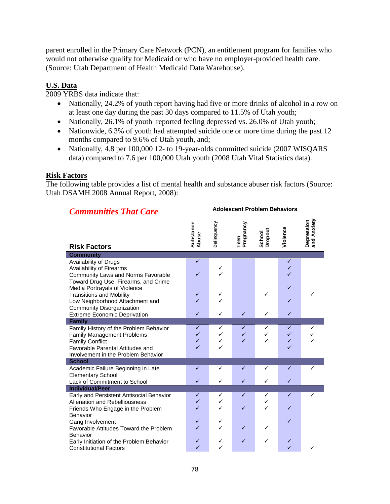parent enrolled in the Primary Care Network (PCN), an entitlement program for families who would not otherwise qualify for Medicaid or who have no employer-provided health care. (Source: Utah Department of Health Medicaid Data Warehouse).

## **U.S. Data**

2009 YRBS data indicate that:

- Nationally, 24.2% of youth report having had five or more drinks of alcohol in a row on at least one day during the past 30 days compared to 11.5% of Utah youth;
- Nationally, 26.1% of youth reported feeling depressed vs. 26.0% of Utah youth;
- Nationwide, 6.3% of youth had attempted suicide one or more time during the past 12 months compared to 9.6% of Utah youth, and;
- Nationally, 4.8 per 100,000 12- to 19-year-olds committed suicide (2007 WISOARS data) compared to 7.6 per 100,000 Utah youth (2008 Utah Vital Statistics data).

#### **Risk Factors**

The following table provides a list of mental health and substance abuser risk factors (Source: Utah DSAMH 2008 Annual Report, 2008):

| <b>Communities That Care</b>                                                                                                                                    | <b>Adolescent Problem Behaviors</b> |                  |                                         |                   |                                                   |                           |
|-----------------------------------------------------------------------------------------------------------------------------------------------------------------|-------------------------------------|------------------|-----------------------------------------|-------------------|---------------------------------------------------|---------------------------|
| <b>Risk Factors</b>                                                                                                                                             | Substance<br>Abuse                  | Delinquency      | Teen<br>Pregnancy                       | School<br>Dropout | Violence                                          | Depression<br>and Anxiety |
| <b>Community</b>                                                                                                                                                |                                     |                  |                                         |                   |                                                   |                           |
| Availability of Drugs<br>Availability of Firearms<br>Community Laws and Norms Favorable<br>Toward Drug Use, Firearms, and Crime<br>Media Portrayals of Violence | $\overline{\checkmark}$<br>✓        | ✓                |                                         |                   | $\checkmark$<br>$\checkmark$<br>✓<br>$\checkmark$ |                           |
| <b>Transitions and Mobility</b>                                                                                                                                 | $\checkmark$                        | ✓                |                                         |                   |                                                   | ✓                         |
| Low Neighborhood Attachment and                                                                                                                                 | ✓                                   |                  |                                         |                   | $\checkmark$                                      |                           |
| Community Disorganization                                                                                                                                       |                                     |                  |                                         |                   |                                                   |                           |
| <b>Extreme Economic Deprivation</b>                                                                                                                             | ✓                                   | ✓                | $\checkmark$                            | ✓                 | $\checkmark$                                      |                           |
| <b>Family</b>                                                                                                                                                   |                                     |                  |                                         |                   |                                                   |                           |
| Family History of the Problem Behavior<br><b>Family Management Problems</b><br><b>Family Conflict</b><br><b>Favorable Parental Attitudes and</b>                | ✓<br>✓<br>✓<br>✓                    | ✓<br>✓<br>✓<br>✓ | ✓<br>$\checkmark$<br>$\checkmark$       | ✓                 | ✓<br>$\checkmark$<br>$\checkmark$<br>$\checkmark$ | ✓                         |
| Involvement in the Problem Behavior<br><b>School</b>                                                                                                            |                                     |                  |                                         |                   |                                                   |                           |
| Academic Failure Beginning in Late<br><b>Elementary School</b><br>Lack of Commitment to School                                                                  | ✓<br>✓                              | ✓<br>✓           | ✓<br>$\checkmark$                       | ✓<br>✓            | ✓<br>✓                                            | ✓                         |
| <b>Individual/Peer</b>                                                                                                                                          |                                     |                  |                                         |                   |                                                   |                           |
| Early and Persistent Antisocial Behavior<br>Alienation and Rebelliousness<br>Friends Who Engage in the Problem<br>Behavior                                      | $\checkmark$<br>✓<br>✓              | ✓<br>✓<br>✓      | $\overline{\checkmark}$<br>$\checkmark$ | ✓<br>✓            | $\overline{\checkmark}$<br>$\checkmark$           |                           |
| Gang Involvement<br>Favorable Attitudes Toward the Problem<br><b>Behavior</b>                                                                                   | ✓<br>✓                              | ✓                | $\checkmark$                            |                   | $\checkmark$                                      |                           |
| Early Initiation of the Problem Behavior<br><b>Constitutional Factors</b>                                                                                       | ✓<br>$\checkmark$                   | ✓<br>✓           | $\checkmark$                            | ✓                 | ✓<br>$\checkmark$                                 |                           |

#### 78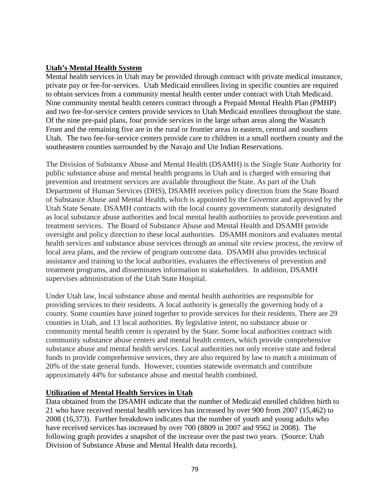## **Utah's Mental Health System**

Mental health services in Utah may be provided through contract with private medical insurance, private pay or fee-for-services. Utah Medicaid enrollees living in specific counties are required to obtain services from a community mental health center under contract with Utah Medicaid. Nine community mental health centers contract through a Prepaid Mental Health Plan (PMHP) and two fee-for-service centers provide services to Utah Medicaid enrollees throughout the state. Of the nine pre-paid plans, four provide services in the large urban areas along the Wasatch Front and the remaining five are in the rural or frontier areas in eastern, central and southern Utah. The two fee-for-service centers provide care to children in a small northern county and the southeastern counties surrounded by the Navajo and Ute Indian Reservations.

The Division of Substance Abuse and Mental Health (DSAMH) is the Single State Authority for public substance abuse and mental health programs in Utah and is charged with ensuring that prevention and treatment services are available throughout the State. As part of the Utah Department of Human Services (DHS), DSAMH receives policy direction from the State Board of Substance Abuse and Mental Health, which is appointed by the Governor and approved by the Utah State Senate. DSAMH contracts with the local county governments statutorily designated as local substance abuse authorities and local mental health authorities to provide prevention and treatment services. The Board of Substance Abuse and Mental Health and DSAMH provide oversight and policy direction to these local authorities. DSAMH monitors and evaluates mental health services and substance abuse services through an annual site review process, the review of local area plans, and the review of program outcome data. DSAMH also provides technical assistance and training to the local authorities, evaluates the effectiveness of prevention and treatment programs, and disseminates information to stakeholders. In addition, DSAMH supervises administration of the Utah State Hospital.

Under Utah law, local substance abuse and mental health authorities are responsible for providing services to their residents. A local authority is generally the governing body of a county. Some counties have joined together to provide services for their residents. There are 29 counties in Utah, and 13 local authorities. By legislative intent, no substance abuse or community mental health center is operated by the State. Some local authorities contract with community substance abuse centers and mental health centers, which provide comprehensive substance abuse and mental health services. Local authorities not only receive state and federal funds to provide comprehensive services, they are also required by law to match a minimum of 20% of the state general funds. However, counties statewide overmatch and contribute approximately 44% for substance abuse and mental health combined.

#### **Utilization of Mental Health Services in Utah**

Data obtained from the DSAMH indicate that the number of Medicaid enrolled children birth to 21 who have received mental health services has increased by over 900 from 2007 (15,462) to 2008 (16,373). Further breakdown indicates that the number of youth and young adults who have received services has increased by over 700 (8809 in 2007 and 9562 in 2008). The following graph provides a snapshot of the increase over the past two years. (Source: Utah Division of Substance Abuse and Mental Health data records).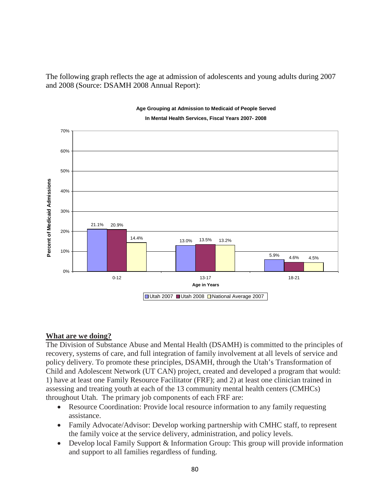The following graph reflects the age at admission of adolescents and young adults during 2007 and 2008 (Source: DSAMH 2008 Annual Report):



# **Age Grouping at Admission to Medicaid of People Served**

# **What are we doing?**

The Division of Substance Abuse and Mental Health (DSAMH) is committed to the principles of recovery, systems of care, and full integration of family involvement at all levels of service and policy delivery. To promote these principles, DSAMH, through the Utah's Transformation of Child and Adolescent Network (UT CAN) project, created and developed a program that would: 1) have at least one Family Resource Facilitator (FRF); and 2) at least one clinician trained in assessing and treating youth at each of the 13 community mental health centers (CMHCs) throughout Utah. The primary job components of each FRF are:

- Resource Coordination: Provide local resource information to any family requesting assistance.
- Family Advocate/Advisor: Develop working partnership with CMHC staff, to represent the family voice at the service delivery, administration, and policy levels.
- Develop local Family Support & Information Group: This group will provide information and support to all families regardless of funding.